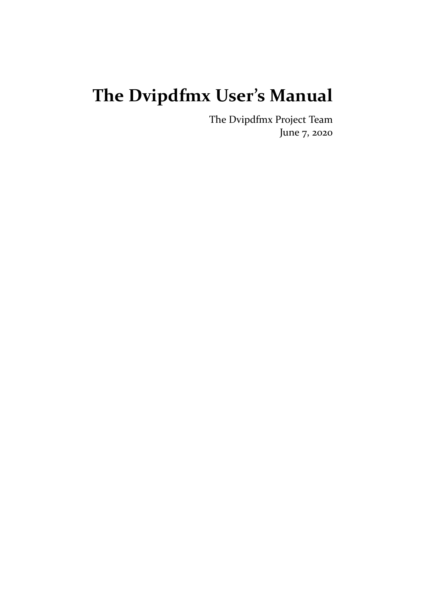# **The Dvipdfmx User's Manual**

The Dvipdfmx Project Team June 7, 2020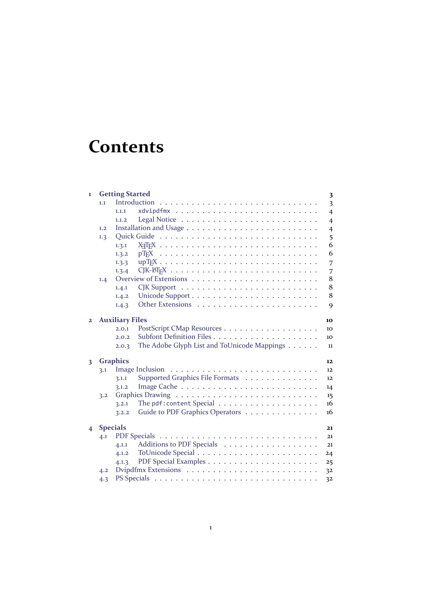# **Contents**

| 1                       |                 | <b>Getting Started</b> |                                                                         | 3              |
|-------------------------|-----------------|------------------------|-------------------------------------------------------------------------|----------------|
|                         | 1.1             |                        | Introduction                                                            | 3              |
|                         |                 | 1.1.1                  |                                                                         | $\overline{4}$ |
|                         |                 | 1.1.2                  |                                                                         | $\overline{4}$ |
|                         | 1.2             |                        |                                                                         | $\overline{4}$ |
|                         | 1.3             |                        |                                                                         | 5              |
|                         |                 | 1.3.1                  |                                                                         | 6              |
|                         |                 | 1.3.2                  | $p$ T <sub>F</sub> X                                                    | 6              |
|                         |                 | 1.3.3                  |                                                                         |                |
|                         |                 | 1.3.4                  |                                                                         | 7              |
|                         |                 |                        |                                                                         | 7<br>8         |
|                         | 1.4             | 1.4.1                  | $CJK$ Support $\ldots \ldots \ldots \ldots \ldots \ldots \ldots \ldots$ | 8              |
|                         |                 |                        |                                                                         | 8              |
|                         |                 | 1.4.2                  |                                                                         |                |
|                         |                 | 1.4.3                  |                                                                         | 9              |
| $\overline{2}$          |                 | <b>Auxiliary Files</b> |                                                                         | 10             |
|                         |                 | 2.0.1                  |                                                                         | 10             |
|                         |                 | 2.0.2                  |                                                                         | 10             |
|                         |                 | 2.0.3                  | The Adobe Glyph List and ToUnicode Mappings                             | 11             |
|                         |                 |                        |                                                                         |                |
| 3                       |                 | <b>Graphics</b>        |                                                                         | 12             |
|                         | 3.1             |                        |                                                                         | 12             |
|                         |                 | 3.1.1                  | Supported Graphics File Formats                                         | 12             |
|                         |                 | 3.1.2                  |                                                                         | 14             |
|                         | 3.2             |                        |                                                                         | 15             |
|                         |                 | 3.2.1                  |                                                                         | 16             |
|                         |                 | 3.2.2                  | Guide to PDF Graphics Operators                                         | 16             |
| $\overline{\mathbf{4}}$ | <b>Specials</b> |                        |                                                                         | 21             |
|                         | 4.1             |                        |                                                                         | 21             |
|                         |                 | 4.1.1                  |                                                                         | 21             |
|                         |                 | 4.1.2                  |                                                                         | 24             |
|                         |                 | 4.1.3                  |                                                                         | 25             |
|                         | 4.2             |                        |                                                                         | 32             |
|                         | 4.3             |                        |                                                                         | 32             |
|                         |                 |                        |                                                                         |                |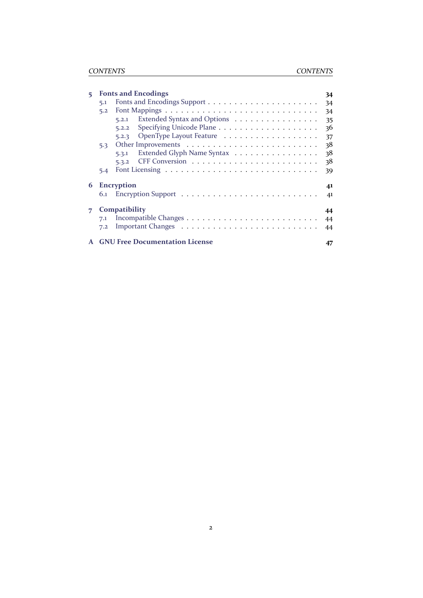| <b>Fonts and Encodings</b><br>34 |                                      |                                                                             |
|----------------------------------|--------------------------------------|-----------------------------------------------------------------------------|
| 5.1                              |                                      | 34                                                                          |
| 5.2                              |                                      | 34                                                                          |
|                                  | Extended Syntax and Options<br>5.2.1 | 35                                                                          |
|                                  | 5.2.2                                | 36                                                                          |
|                                  | OpenType Layout Feature<br>5.2.3     | 37                                                                          |
| 5.3                              |                                      | 38                                                                          |
|                                  | Extended Glyph Name Syntax<br>5.3.1  | 38                                                                          |
|                                  | 5.3.2                                | 38                                                                          |
| 5.4                              |                                      | 39                                                                          |
|                                  |                                      | 41                                                                          |
| 6.1                              |                                      | 41                                                                          |
|                                  |                                      | 44                                                                          |
| 7.1                              |                                      | 44                                                                          |
| 7.2                              |                                      | 44                                                                          |
|                                  |                                      | 47                                                                          |
|                                  |                                      | <b>Encryption</b><br>Compatibility<br><b>GNU Free Documentation License</b> |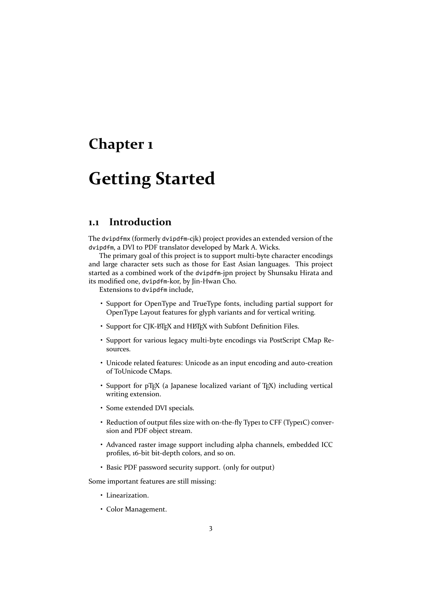## <span id="page-3-0"></span>**Chapter 1**

# **Getting Started**

### <span id="page-3-1"></span>**1.1 Introduction**

The dvipdfmx (formerly dvipdfm‐cjk) project provides an extended version of the dvipdfm, a DVI to PDF translator developed by Mark A. Wicks.

The primary goal of this project is to support multi-byte character encodings and large character sets such as those for East Asian languages. This project started as a combined work of the dvipdfm‐jpn project by Shunsaku Hirata and its modified one, dvipdfm‐kor, by Jin‐Hwan Cho.

Extensions to dvipdfm include,

- Support for OpenType and TrueType fonts, including partial support for OpenType Layout features for glyph variants and for vertical writing.
- Support for CJK-LTEX and HLTEX with Subfont Definition Files.
- Support for various legacy multi-byte encodings via PostScript CMap Resources.
- Unicode related features: Unicode as an input encoding and auto‐creation of ToUnicode CMaps.
- Support for pT<sub>F</sub>X (a Japanese localized variant of T<sub>F</sub>X) including vertical writing extension.
- Some extended DVI specials.
- Reduction of output files size with on-the-fly Type1 to CFF (Type1C) conversion and PDF object stream.
- Advanced raster image support including alpha channels, embedded ICC profiles, 16‐bit bit‐depth colors, and so on.
- Basic PDF password security support. (only for output)

Some important features are still missing:

- Linearization.
- Color Management.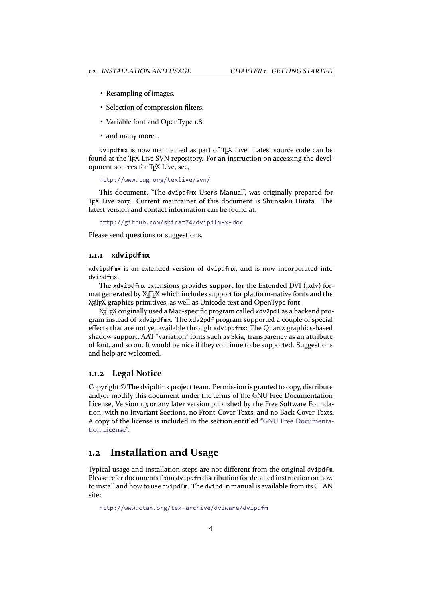- Resampling of images.
- Selection of compression filters.
- Variable font and OpenType 1.8.
- and many more...

dvipdfmx is now maintained as part of TEX Live. Latest source code can be found at the T<sub>EX</sub> Live SVN repository. For an instruction on accessing the development sources for TEX Live, see,

http://www.tug.org/texlive/svn/

This document, "The dvipdfmx User's Manual", was originally prepared for TEX Live 2017. Current maintainer of this document is Shunsaku Hirata. The lat[est version and contact information c](http://www.tug.org/texlive/svn/)an be found at:

http://github.com/shirat74/dvipdfm‐x‐doc

Please send questions or suggestions.

#### **1.1.1 [xdvipdfmx](http://github.com/shirat74/dvipdfm-x-doc)**

xdvipdfmx is an extended version of dvipdfmx, and is now incorporated into dvipdfmx.

<span id="page-4-0"></span>The xdvipdfmx extensions provides support for the Extended DVI (.xdv) for‐ mat generated by X<sub>T</sub>T<sub>E</sub>X which includes support for platform-native fonts and the X<sub>T</sub>T<sub>E</sub>X graphics primitives, as well as Unicode text and OpenType font.

X<sub>T</sub>T<sub>E</sub>X originally used a Mac-specific program called xdv2pdf as a backend program instead of xdvipdfmx. The xdv2pdf program supported a couple of special effects that are not yet available through xdvipdfmx: The Quartz graphics‐based shadow support, AAT "variation" fonts such as Skia, transparency as an attribute of font, and so on. It would be nice if they continue to be supported. Suggestions and help are welcomed.

#### **1.1.2 Legal Notice**

<span id="page-4-1"></span>Copyright © The dvipdfmx project team. Permission is granted to copy, distribute and/or modify this document under the terms of the GNU Free Documentation License, Version 1.3 or any later version published by the Free Software Founda‐ tion; with no Invariant Sections, no Front‐Cover Texts, and no Back‐Cover Texts. A copy of the license is included in the section entitled "GNU Free Documenta‐ tion License".

#### **1.2 Installation and Usage**

<span id="page-4-2"></span>[Typical usag](#page-47-0)e and installation steps are not different from the original dvipdfm. Please refer documents from dvipdfm distribution for detailed instruction on how to install and how to use dvipdfm. The dvipdfm manual is available from its CTAN site:

http://www.ctan.org/tex‐archive/dviware/dvipdfm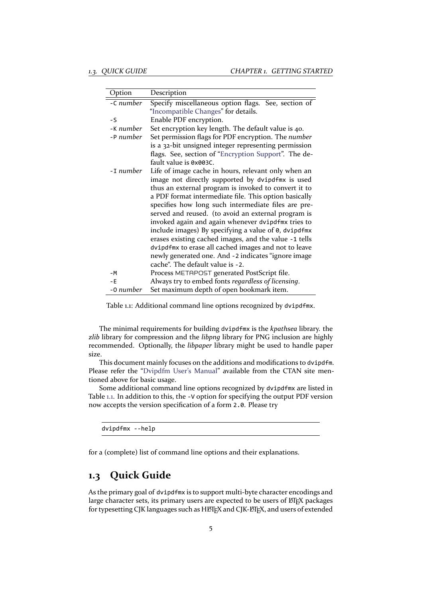| Option    | Description                                           |
|-----------|-------------------------------------------------------|
| -C number | Specify miscellaneous option flags. See, section of   |
|           | "Incompatible Changes" for details.                   |
| $-S$      | Enable PDF encryption.                                |
| -K number | Set encryption key length. The default value is 40.   |
| -P number | Set permission flags for PDF encryption. The number   |
|           | is a 32-bit unsigned integer representing permission  |
|           | flags. See, section of "Encryption Support". The de-  |
|           | fault value is 0x003C.                                |
| -1 number | Life of image cache in hours, relevant only when an   |
|           | image not directly supported by dvipdfmx is used      |
|           | thus an external program is invoked to convert it to  |
|           | a PDF format intermediate file. This option basically |
|           | specifies how long such intermediate files are pre-   |
|           | served and reused. (to avoid an external program is   |
|           | invoked again and again whenever dvipdfmx tries to    |
|           | include images) By specifying a value of 0, dvipdfmx  |
|           | erases existing cached images, and the value -1 tells |
|           | dvipdfmx to erase all cached images and not to leave  |
|           | newly generated one. And -2 indicates "ignore image   |
|           | cache". The default value is -2.                      |
| $-M$      | Process METAPOST generated PostScript file.           |
| $-E$      | Always try to embed fonts regardless of licensing.    |
| -0 number | Set maximum depth of open bookmark item.              |

<span id="page-5-1"></span>Table 1.1: Additional command line options recognized by dvipdfmx.

The minimal requirements for building dvipdfmx is the *kpathsea* library. the *zlib* library for compression and the *libpng* library for PNG inclusion are highly recommended. Optionally, the *libpaper* library might be used to handle paper size.

This document mainly focuses on the additions and modifications to dvipdfm. Please refer the "Dvipdfm User's Manual" available from the CTAN site mentioned above for basic usage.

Some additional command line options recognized by dvipdfmx are listed in Table 1.1. In addition to this, the -V option for specifying the output PDF version now accepts the v[ersion specification of a f](http://mirrors.ctan.org/dviware/dvipdfm/dvipdfm.pdf)orm 2.0. Please try

d[vip](#page-5-1)dfmx ‐‐help

for a (complete) list of command line options and their explanations.

### **1.3 Quick Guide**

<span id="page-5-0"></span>As the primary goal of dvipdfmx is to support multi-byte character encodings and large character sets, its primary users are expected to be users of LTEX packages for typesetting CJK languages such as HETEX and CJK-ETEX, and users of extended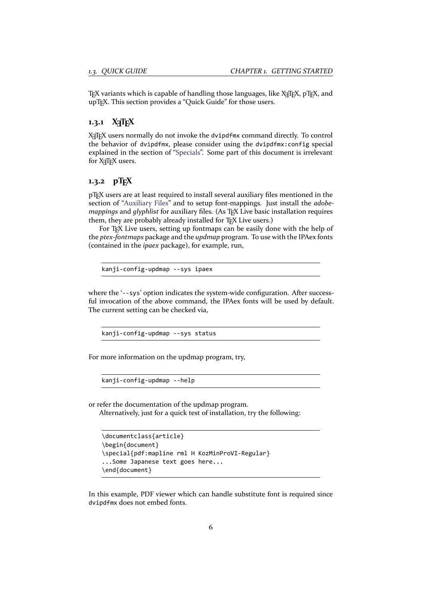TEX variants which is capable of handling those languages, like X<sub>T</sub>TEX, pTEX, and upT<sub>F</sub>X. This section provides a "Quick Guide" for those users.

#### **1.3.1 X TEEX**

<span id="page-6-0"></span>X<sub>T</sub>IEX users normally do not invoke the dvipdfmx command directly. To control the behavior of dvipdfmx, please consider using the dvipdfmx:config special explained in the section of "Specials". Some part of this document is irrelevant for X<sub>T</sub>T<sub>F</sub>X users.

### 1.3.2 **pTFX**

pTEX users are at least requi[red to ins](#page-21-1)tall several auxiliary files mentioned in the section of "Auxiliary Files" and to setup font‐mappings. Just install the *adobe‐ mappings* and *glyphlist* for auxiliary files. (As TFX Live basic installation requires them, they are probably already installed for TEX Live users.)

<span id="page-6-1"></span>For T<sub>E</sub>X Live users, setting up fontmaps can be easily done with the help of the *ptex‐fontmaps* [package](#page-10-0) and the *updmap* program. To use with the IPAex fonts (contained in the *ipaex* package), for example, run,

kanji‐config‐updmap ‐‐sys ipaex

where the '--sys' option indicates the system-wide configuration. After successful invocation of the above command, the IPAex fonts will be used by default. The current setting can be checked via,

kanji‐config‐updmap ‐‐sys status

For more information on the updmap program, try,

kanji‐config‐updmap ‐‐help

or refer the documentation of the updmap program.

Alternatively, just for a quick test of installation, try the following:

```
\documentclass{article}
\begin{document}
\special{pdf:mapline rml H KozMinProVI‐Regular}
...Some Japanese text goes here...
\end{document}
```
In this example, PDF viewer which can handle substitute font is required since dvipdfmx does not embed fonts.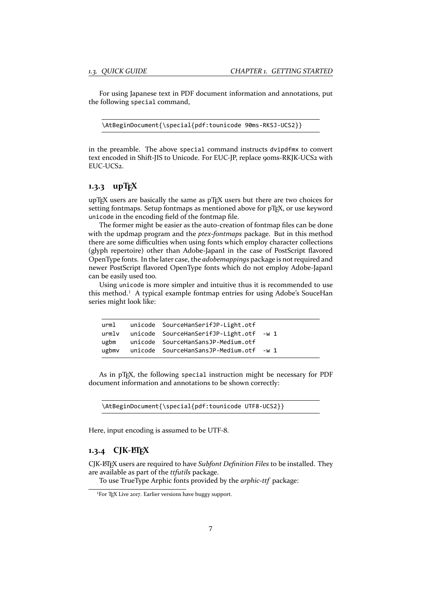For using Japanese text in PDF document information and annotations, put the following special command,

\AtBeginDocument{\special{pdf:tounicode 90ms‐RKSJ‐UCS2}}

in the preamble. The above special command instructs dvipdfmx to convert text encoded in Shift-JIS to Unicode. For EUC-JP, replace 90ms-RKJK-UCS2 with EUC‐UCS2.

#### **1.3.3 upTEX**

upT<sub>E</sub>X users are basically the same as pT<sub>E</sub>X users but there are two choices for setting fontmaps. Setup fontmaps as mentioned above for pT<sub>E</sub>X, or use keyword unicode in the encoding field of the fontmap file.

<span id="page-7-0"></span>The former might be easier as the auto-creation of fontmap files can be done with the updmap program and the *ptex‐fontmaps* package. But in this method there are some difficulties when using fonts which employ character collections (glyph repertoire) other than Adobe‐Japan1 in the case of PostScript flavored OpenType fonts. In the later case, the *adobemappings* package is not required and newer PostScript flavored OpenType fonts which do not employ Adobe‐Japan1 can be easily used too.

Using unicode is more simpler and intuitive thus it is recommended to use this method.<sup>1</sup> A typical example fontmap entries for using Adobe's SouceHan series might look like:

|  | urml unicode SourceHanSerifJP-Light.otf       |  |
|--|-----------------------------------------------|--|
|  | urmlv unicode SourceHanSerifJP-Light.otf -w 1 |  |
|  | ugbm unicode SourceHanSansJP-Medium.otf       |  |
|  | ugbmv unicode SourceHanSansJP-Medium.otf -w 1 |  |

As in pT<sub>F</sub>X, the following special instruction might be necessary for PDF document information and annotations to be shown correctly:

\AtBeginDocument{\special{pdf:tounicode UTF8‐UCS2}}

Here, input encoding is assumed to be UTF-8.

#### **1.3.4 CJK‐LATEX**

CJK‐LATEX users are required to have *Subfont Definition Files* to be installed. They are available as part of the *ttfutils* package.

<span id="page-7-1"></span>To use TrueType Arphic fonts provided by the *arphic‐ttf* package:

<span id="page-7-2"></span><sup>&</sup>lt;sup>1</sup>For T<sub>F</sub>X Live 2017. Earlier versions have buggy support.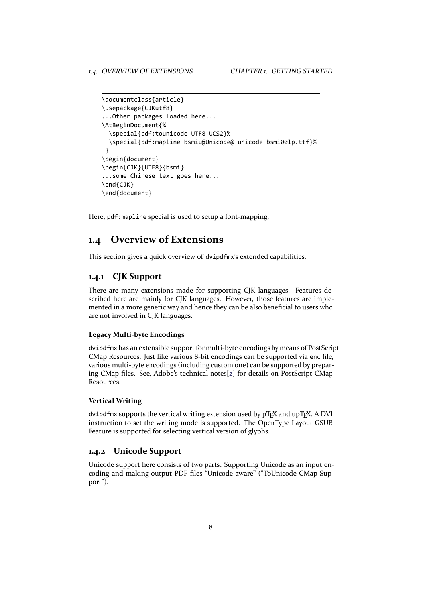```
\documentclass{article}
\usepackage{CJKutf8}
...Other packages loaded here...
\AtBeginDocument{%
  \special{pdf:tounicode UTF8‐UCS2}%
  \special{pdf:mapline bsmiu@Unicode@ unicode bsmi00lp.ttf}%
}
\begin{document}
\begin{CJK}{UTF8}{bsmi}
...some Chinese text goes here...
\end{CJK}
\end{document}
```
Here, pdf:mapline special is used to setup a font‐mapping.

### **1.4 Overview of Extensions**

This section gives a quick overview of dvipdfmx's extended capabilities.

#### <span id="page-8-0"></span>**1.4.1 CJK Support**

<span id="page-8-1"></span>There are many extensions made for supporting CJK languages. Features de‐ scribed here are mainly for CJK languages. However, those features are imple‐ mented in a more generic way and hence they can be also beneficial to users who are not involved in CJK languages.

#### **Legacy Multi‐byte Encodings**

dvipdfmx has an extensible support for multi‐byte encodings by means of PostScript CMap Resources. Just like various 8‐bit encodings can be supported via enc file, various multi‐byte encodings (including custom one) can be supported by prepar‐ ing CMap files. See, Adobe's technical notes[2] for details on PostScript CMap Resources.

#### **Vertical Writing**

dvipdfmx supports the vertical writing extensi[on](#page-46-0) used by pT<sub>E</sub>X and upT<sub>E</sub>X. A DVI instruction to set the writing mode is supported. The OpenType Layout GSUB Feature is supported for selecting vertical version of glyphs.

#### **1.4.2 Unicode Support**

<span id="page-8-2"></span>Unicode support here consists of two parts: Supporting Unicode as an input en‐ coding and making output PDF files "Unicode aware" ("ToUnicode CMap Sup‐ port").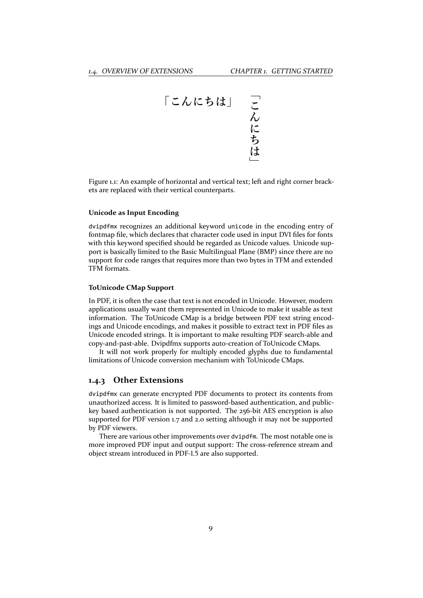

<span id="page-9-1"></span>Figure 1.1: An example of horizontal and vertical text; left and right corner brack‐ ets are replaced with their vertical counterparts.

#### **Unicode as Input Encoding**

dvipdfmx recognizes an additional keyword unicode in the encoding entry of fontmap file, which declares that character code used in input DVI files for fonts with this keyword specified should be regarded as Unicode values. Unicode support is basically limited to the Basic Multilingual Plane (BMP) since there are no support for code ranges that requires more than two bytes in TFM and extended TFM formats.

#### **ToUnicode CMap Support**

In PDF, it is often the case that text is not encoded in Unicode. However, modern applications usually want them represented in Unicode to make it usable as text information. The ToUnicode CMap is a bridge between PDF text string encodings and Unicode encodings, and makes it possible to extract text in PDF files as Unicode encoded strings. It is important to make resulting PDF search‐able and copy‐and‐past‐able. Dvipdfmx supports auto‐creation of ToUnicode CMaps.

It will not work properly for multiply encoded glyphs due to fundamental limitations of Unicode conversion mechanism with ToUnicode CMaps.

#### <span id="page-9-0"></span>**1.4.3 Other Extensions**

dvipdfmx can generate encrypted PDF documents to protect its contents from unauthorized access. It is limited to password‐based authentication, and public‐ key based authentication is not supported. The 256‐bit AES encryption is also supported for PDF version 1.7 and 2.0 setting although it may not be supported by PDF viewers.

There are various other improvements over dvipdfm. The most notable one is more improved PDF input and output support: The cross-reference stream and object stream introduced in PDF‐1.5 are also supported.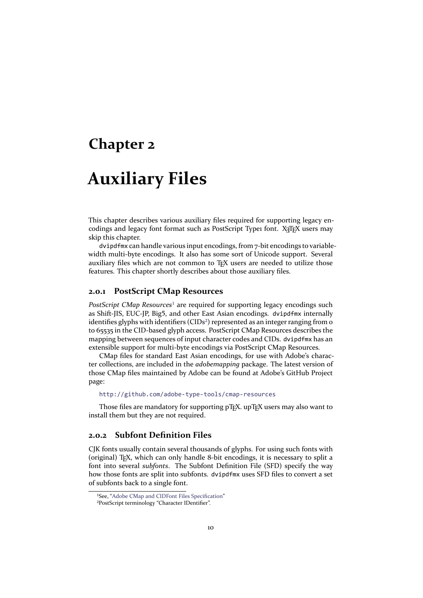### <span id="page-10-0"></span>**Chapter 2**

# **Auxiliary Files**

This chapter describes various auxiliary files required for supporting legacy en‐ codings and legacy font format such as PostScript Type1 font. X TEX users may skip this chapter.

dvipdfmx can handle various input encodings, from 7-bit encodings to variablewidth multi-byte encodings. It also has some sort of Unicode support. Several auxiliary files which are not common to TEX users are needed to utilize those features. This chapter shortly describes about those auxiliary files.

#### **2.0.1 PostScript CMap Resources**

<span id="page-10-1"></span>*PostScript CMap Resources<sup>1</sup>* are required for supporting legacy encodings such as Shift‐JIS, EUC‐JP, Big5, and other East Asian encodings. dvipdfmx internally identifies glyphs with identifiers (CIDs<sup>2</sup>) represented as an integer ranging from o to 65535 in the CID‐based glyph access. PostScript CMap Resources describes the mapping between sequenc[es](#page-10-3) of input character codes and CIDs. dvipdfmx has an extensible support for multi‐byte encodings via PostScript CMap Resources.

CMap files for standard East Asia[n](#page-10-4) encodings, for use with Adobe's charac‐ ter collections, are included in the *adobemapping* package. The latest version of those CMap files maintained by Adobe can be found at Adobe's GitHub Project page:

http://github.com/adobe‐type‐tools/cmap‐resources

Those files are mandatory for supporting pT<sub>E</sub>X. upT<sub>E</sub>X users may also want to install them but they are not required.

#### **2.[0.2 Subfont Definition Files](http://github.com/adobe-type-tools/cmap-resources)**

<span id="page-10-2"></span>CJK fonts usually contain several thousands of glyphs. For using such fonts with (original) TEX, which can only handle 8‐bit encodings, it is necessary to split a font into several *subfonts*. The Subfont Definition File (SFD) specify the way how those fonts are split into subfonts. dvipdfmx uses SFD files to convert a set of subfonts back to a single font.

<sup>&</sup>lt;sup>1</sup>See, "Adobe CMap and CIDFont Files Specification"

<span id="page-10-4"></span><span id="page-10-3"></span>²PostScript terminology "Character IDentifier".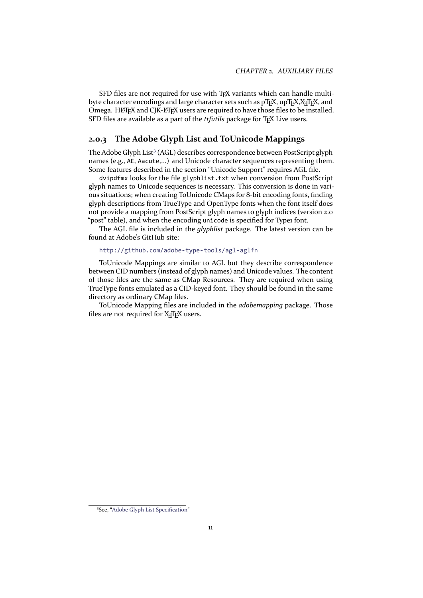SFD files are not required for use with TEX variants which can handle multibyte character encodings and large character sets such as pTFX, upTFX, X7TFX, and Omega. HETEX and CJK-ETEX users are required to have those files to be installed. SFD files are available as a part of the *ttfutils* package for T<sub>E</sub>X Live users.

#### **2.0.3 The Adobe Glyph List and ToUnicode Mappings**

The Adobe Glyph List<sup>3</sup> (AGL) describes correspondence between PostScript glyph names (e.g., AE, Aacute,...) and Unicode character sequences representing them. Some features described in the section "Unicode Support" requires AGL file.

<span id="page-11-0"></span>dvipdfmx looks for the file glyphlist.txt when conversion from PostScript glyph names to Unic[od](#page-11-1)e sequences is necessary. This conversion is done in vari‐ ous situations; when creating ToUnicode CMaps for 8‐bit encoding fonts, finding glyph descriptions from TrueType and OpenType fonts when the font itself does not provide a mapping from PostScript glyph names to glyph indices (version 2.0 "post" table), and when the encoding unicode is specified for Type1 font.

The AGL file is included in the *glyphlist* package. The latest version can be found at Adobe's GitHub site:

#### http://github.com/adobe‐type‐tools/agl‐aglfn

ToUnicode Mappings are similar to AGL but they describe correspondence between CID numbers (instead of glyph names) and Unicode values. The content of those files are the same as CMap Resources. They are required when using Tru[eType fonts emulated as a CID‐keyed font. They shou](http://github.com/adobe-type-tools/agl-aglfn)ld be found in the same directory as ordinary CMap files.

ToUnicode Mapping files are included in the *adobemapping* package. Those files are not required for X<sub>7</sub>TEX users.

<span id="page-11-1"></span><sup>&</sup>lt;sup>3</sup>See, "Adobe Glyph List Specification"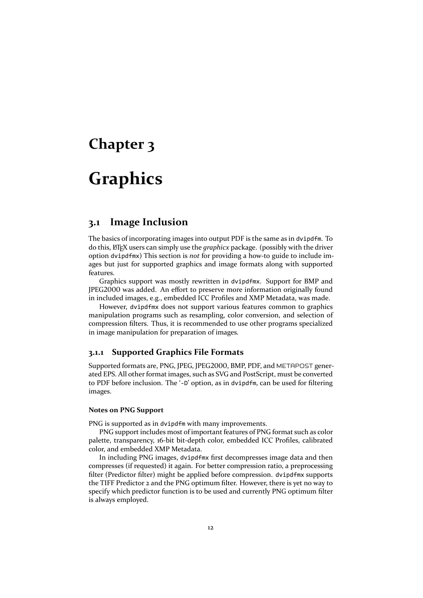# <span id="page-12-0"></span>**Chapter 3**

# **Graphics**

### <span id="page-12-1"></span>**3.1 Image Inclusion**

The basics of incorporating images into output PDF is the same as in dvipdfm. To do this, LATEX users can simply use the *graphicx* package. (possibly with the driver option dvipdfmx) This section is *not* for providing a how‐to guide to include im‐ ages but just for supported graphics and image formats along with supported features.

Graphics support was mostly rewritten in dvipdfmx. Support for BMP and JPEG2000 was added. An effort to preserve more information originally found in included images, e.g., embedded ICC Profiles and XMP Metadata, was made.

However, dvipdfmx does not support various features common to graphics manipulation programs such as resampling, color conversion, and selection of compression filters. Thus, it is recommended to use other programs specialized in image manipulation for preparation of images.

#### <span id="page-12-2"></span>**3.1.1 Supported Graphics File Formats**

Supported formats are, PNG, JPEG, JPEG2000, BMP, PDF, and METAPOST gener‐ ated EPS. All other format images, such as SVG and PostScript, must be converted to PDF before inclusion. The '‐D' option, as in dvipdfm, can be used for filtering images.

#### **Notes on PNG Support**

PNG is supported as in dvipdfm with many improvements.

PNG support includes most of important features of PNG format such as color palette, transparency, 16‐bit bit‐depth color, embedded ICC Profiles, calibrated color, and embedded XMP Metadata.

In including PNG images, dvipdfmx first decompresses image data and then compresses (if requested) it again. For better compression ratio, a preprocessing filter (Predictor filter) might be applied before compression. dvipdfmx supports the TIFF Predictor 2 and the PNG optimum filter. However, there is yet no way to specify which predictor function is to be used and currently PNG optimum filter is always employed.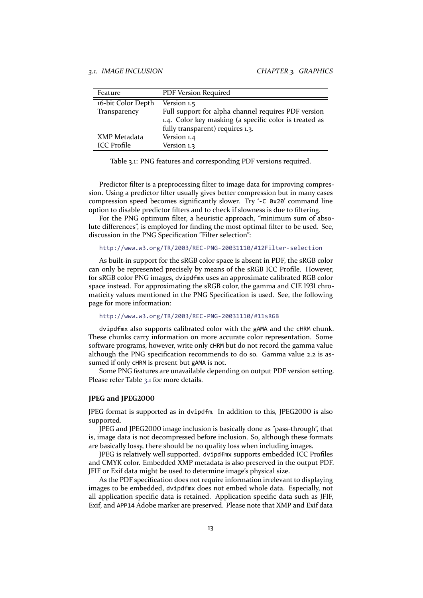| Feature            | PDF Version Required                                   |
|--------------------|--------------------------------------------------------|
| 16-bit Color Depth | Version 1.5                                            |
| Transparency       | Full support for alpha channel requires PDF version    |
|                    | 1.4. Color key masking (a specific color is treated as |
|                    | fully transparent) requires 1.3.                       |
| XMP Metadata       | Version 1.4                                            |
| <b>ICC</b> Profile | Version 1.3                                            |

<span id="page-13-0"></span>Table 3.1: PNG features and corresponding PDF versions required.

Predictor filter is a preprocessing filter to image data for improving compres‐ sion. Using a predictor filter usually gives better compression but in many cases compression speed becomes significantly slower. Try '‐C 0x20' command line option to disable predictor filters and to check if slowness is due to filtering.

For the PNG optimum filter, a heuristic approach, "minimum sum of absolute differences", is employed for finding the most optimal filter to be used. See, discussion in the PNG Specification "Filter selection":

http://www.w3.org/TR/2003/REC‐PNG‐20031110/#12Filter‐selection

As built-in support for the sRGB color space is absent in PDF, the sRGB color can only be represented precisely by means of the sRGB ICC Profile. However, for sRGB color PNG images, dvipdfmx uses an approximate calibrated RGB color spa[ce instead. For approximating the sRGB color, the gamma and CIE](http://www.w3.org/TR/2003/REC-PNG-20031110/#12Filter-selection) 1931 chromaticity values mentioned in the PNG Specification is used. See, the following page for more information:

http://www.w3.org/TR/2003/REC‐PNG‐20031110/#11sRGB

dvipdfmx also supports calibrated color with the gAMA and the cHRM chunk. These chunks carry information on more accurate color representation. Some software programs, however, write only cHRM but do not record the gamma value alt[hough the PNG specification recommends to do so. Gamm](http://www.w3.org/TR/2003/REC-PNG-20031110/#11sRGB)a value 2.2 is as‐ sumed if only cHRM is present but gAMA is not.

Some PNG features are unavailable depending on output PDF version setting. Please refer Table 3.1 for more details.

#### **JPEG and JPEG2000**

JPEG format is su[ppo](#page-13-0)rted as in dvipdfm. In addition to this, JPEG2000 is also supported.

JPEG and JPEG2000 image inclusion is basically done as "pass‐through", that is, image data is not decompressed before inclusion. So, although these formats are basically lossy, there should be no quality loss when including images.

JPEG is relatively well supported. dvipdfmx supports embedded ICC Profiles and CMYK color. Embedded XMP metadata is also preserved in the output PDF. JFIF or Exif data might be used to determine image's physical size.

As the PDF specification does not require information irrelevant to displaying images to be embedded, dvipdfmx does not embed whole data. Especially, not all application specific data is retained. Application specific data such as JFIF, Exif, and APP14 Adobe marker are preserved. Please note that XMP and Exif data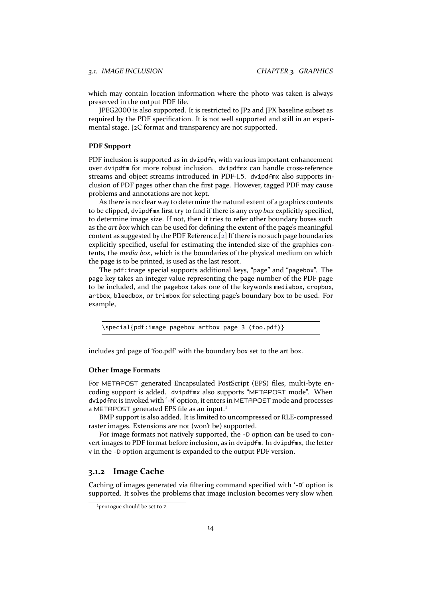which may contain location information where the photo was taken is always preserved in the output PDF file.

JPEG2000 is also supported. It is restricted to JP2 and JPX baseline subset as required by the PDF specification. It is not well supported and still in an experi‐ mental stage. J2C format and transparency are not supported.

#### **PDF Support**

PDF inclusion is supported as in dvipdfm, with various important enhancement over dvipdfm for more robust inclusion. dvipdfmx can handle cross‐reference streams and object streams introduced in PDF‐1.5. dvipdfmx also supports in‐ clusion of PDF pages other than the first page. However, tagged PDF may cause problems and annotations are not kept.

As there is no clear way to determine the natural extent of a graphics contents to be clipped, dvipdfmx first try to find if there is any *crop box* explicitly specified, to determine image size. If not, then it tries to refer other boundary boxes such as the *art box* which can be used for defining the extent of the page's meaningful content as suggested by the PDF Reference.[2] If there is no such page boundaries explicitly specified, useful for estimating the intended size of the graphics contents, the *media box*, which is the boundaries of the physical medium on which the page is to be printed, is used as the last resort.

The pdf:image special supports additi[on](#page-46-0)al keys, "page" and "pagebox". The page key takes an integer value representing the page number of the PDF page to be included, and the pagebox takes one of the keywords mediabox, cropbox, artbox, bleedbox, or trimbox for selecting page's boundary box to be used. For example,

\special{pdf:image pagebox artbox page 3 (foo.pdf)}

includes 3rd page of 'foo.pdf' with the boundary box set to the art box.

#### **Other Image Formats**

For METAPOST generated Encapsulated PostScript (EPS) files, multi-byte encoding support is added. dvipdfmx also supports "METAPOST mode". When dvipdfmx is invoked with '‐M' option, it enters in METAPOST mode and processes a METAPOST generated EPS file as an input.<sup>1</sup>

BMP support is also added. It is limited to uncompressed or RLE‐compressed raster images. Extensions are not (won't be) supported.

For image formats not natively supported, the -D option can be used to convert images to PDF format before inclusion, a[s](#page-14-1) in dvipdfm. In dvipdfmx, the letter v in the ‐D option argument is expanded to the output PDF version.

#### **3.1.2 Image Cache**

Caching of images generated via filtering command specified with '‐D' option is supported. It solves the problems that image inclusion becomes very slow when

<span id="page-14-1"></span><span id="page-14-0"></span><sup>&</sup>lt;sup>1</sup>prologue should be set to 2.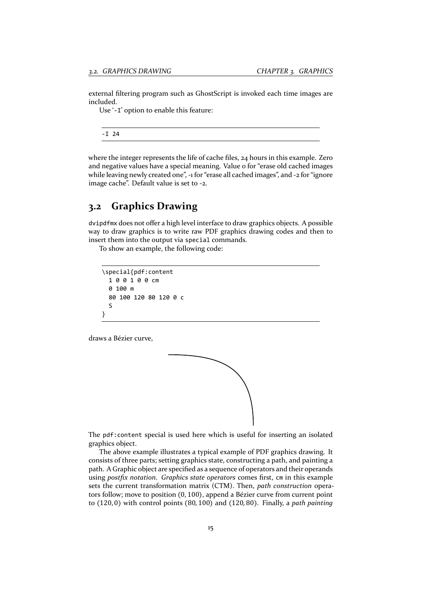external filtering program such as GhostScript is invoked each time images are included.

Use '-I' option to enable this feature:

‐I 24

where the integer represents the life of cache files, 24 hours in this example. Zero and negative values have a special meaning. Value o for "erase old cached images while leaving newly created one", -1 for "erase all cached images", and -2 for "ignore image cache". Default value is set to ‐2.

### <span id="page-15-0"></span>**3.2 Graphics Drawing**

dvipdfmx does not offer a high level interface to draw graphics objects. A possible way to draw graphics is to write raw PDF graphics drawing codes and then to insert them into the output via special commands.

To show an example, the following code:

```
\special{pdf:content
  1 0 0 1 0 0 cm
  0 100 m
  80 100 120 80 120 0 c
  S
}
```
draws a Bézier curve,



The pdf:content special is used here which is useful for inserting an isolated graphics object.

The above example illustrates a typical example of PDF graphics drawing. It consists of three parts; setting graphics state, constructing a path, and painting a path. A Graphic object are specified as a sequence of operators and their operands using *postfix notation*. *Graphics state operators* comes first, cm in this example sets the current transformation matrix (CTM). Then, *path construction* opera‐ tors follow; move to position (0, 100), append a Bézier curve from current point to (120, 0) with control points (80, 100) and (120, 80). Finally, a *path painting*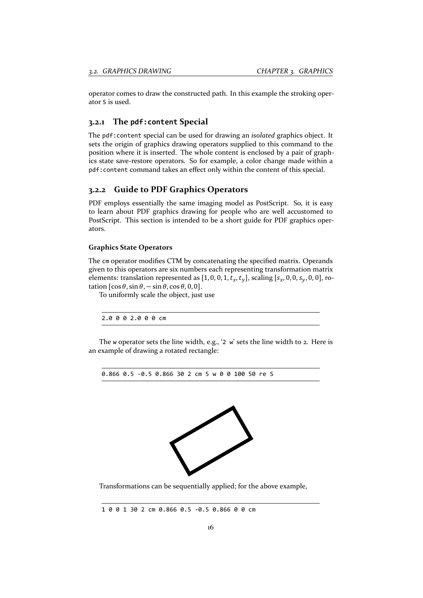operator comes to draw the constructed path. In this example the stroking oper‐ ator S is used.

#### <span id="page-16-0"></span>**3.2.1 The pdf:content Special**

The pdf:content special can be used for drawing an *isolated* graphics object. It sets the origin of graphics drawing operators supplied to this command to the position where it is inserted. The whole content is enclosed by a pair of graphics state save‐restore operators. So for example, a color change made within a pdf:content command takes an effect only within the content of this special.

#### <span id="page-16-1"></span>**3.2.2 Guide to PDF Graphics Operators**

PDF employs essentially the same imaging model as PostScript. So, it is easy to learn about PDF graphics drawing for people who are well accustomed to PostScript. This section is intended to be a short guide for PDF graphics operators.

#### **Graphics State Operators**

The cm operator modifies CTM by concatenating the specified matrix. Operands given to this operators are six numbers each representing transformation matrix elements: translation represented as [1, 0, 0, 1,  $t_x$ ,  $t_y$ ], scaling [ $s_x$ , 0, 0,  $s_y$ , 0, 0], rotation  $[\cos \theta, \sin \theta, -\sin \theta, \cos \theta, 0, 0]$ .

To uniformly scale the object, just use

2.0 0 0 2.0 0 0 cm

The w operator sets the line width, e.g., '2 w' sets the line width to 2. Here is an example of drawing a rotated rectangle:

0.866 0.5 ‐0.5 0.866 30 2 cm 5 w 0 0 100 50 re S



Transformations can be sequentially applied; for the above example,

1 0 0 1 30 2 cm 0.866 0.5 ‐0.5 0.866 0 0 cm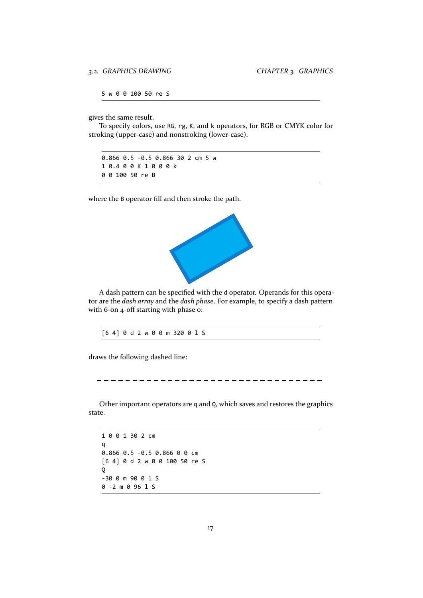5 w 0 0 100 50 re S

gives the same result.

To specify colors, use RG, rg, K, and k operators, for RGB or CMYK color for stroking (upper‐case) and nonstroking (lower‐case).

0.866 0.5 ‐0.5 0.866 30 2 cm 5 w 1 0.4 0 0 K 1 0 0 0 k 0 0 100 50 re B

where the B operator fill and then stroke the path.



A dash pattern can be specified with the d operator. Operands for this opera‐ tor are the *dash array* and the *dash phase*. For example, to specify a dash pattern with 6-on 4-off starting with phase o:

draws the following dashed line:

-----------------------

Other important operators are q and Q, which saves and restores the graphics state.

1 0 0 1 30 2 cm q 0.866 0.5 ‐0.5 0.866 0 0 cm [6 4] 0 d 2 w 0 0 100 50 re S Q ‐30 0 m 90 0 l S 0 ‐2 m 0 96 l S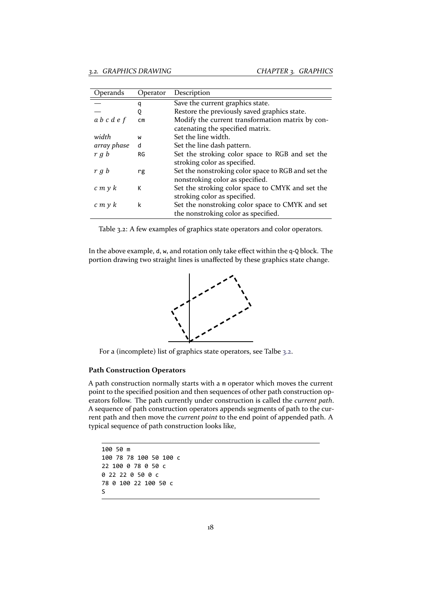| Operands    | Operator  | Description                                        |
|-------------|-----------|----------------------------------------------------|
|             | q         | Save the current graphics state.                   |
|             | 0         | Restore the previously saved graphics state.       |
| a b c d e f | <b>CM</b> | Modify the current transformation matrix by con-   |
|             |           | catenating the specified matrix.                   |
| width       | W         | Set the line width.                                |
| array phase | d         | Set the line dash pattern.                         |
| r g b       | RG        | Set the stroking color space to RGB and set the    |
|             |           | stroking color as specified.                       |
| r g b       | rg        | Set the nonstroking color space to RGB and set the |
|             |           | nonstroking color as specified.                    |
| c m y k     | к         | Set the stroking color space to CMYK and set the   |
|             |           | stroking color as specified.                       |
| c m y k     | k         | Set the nonstroking color space to CMYK and set    |
|             |           | the nonstroking color as specified.                |

Table 3.2: A few examples of graphics state operators and color operators.

In the above example, d, w, and rotation only take effect within the q‐Q block. The portion drawing two straight lines is unaffected by these graphics state change.

<span id="page-18-0"></span>

For a (incomplete) list of graphics state operators, see Talbe 3.2.

#### **Path Construction Operators**

A path construction normally starts with a m operator which [move](#page-18-0)s the current point to the specified position and then sequences of other path construction operators follow. The path currently under construction is called the *current path*. A sequence of path construction operators appends segments of path to the cur‐ rent path and then move the *current point* to the end point of appended path. A typical sequence of path construction looks like,

```
100 50 m
100 78 78 100 50 100 c
22 100 0 78 0 50 c
0 22 22 0 50 0 c
78 0 100 22 100 50 c
S
```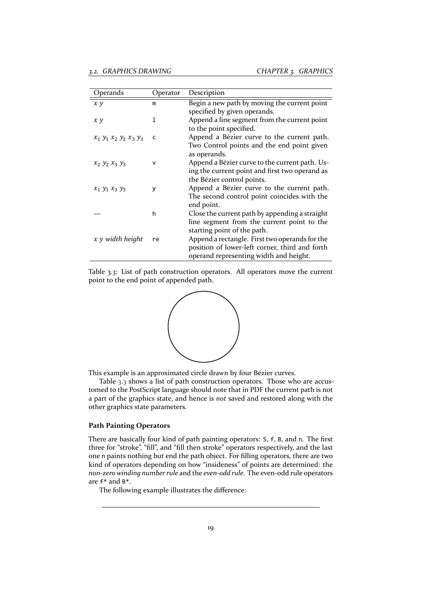| Operands                            | Operator | Description                                    |
|-------------------------------------|----------|------------------------------------------------|
| x y                                 | m        | Begin a new path by moving the current point   |
|                                     |          | specified by given operands.                   |
| x y                                 | ı        | Append a line segment from the current point   |
|                                     |          | to the point specified.                        |
| $x_1$ $y_1$ $x_2$ $y_2$ $x_3$ $y_3$ | c        | Append a Bézier curve to the current path.     |
|                                     |          | Two Control points and the end point given     |
|                                     |          | as operands.                                   |
| $x_2$ $y_2$ $x_3$ $y_3$             | v        | Append a Bézier curve to the current path. Us- |
|                                     |          | ing the current point and first two operand as |
|                                     |          | the Bézier control points.                     |
| $x_1 y_1 x_3 y_3$                   | У        | Append a Bézier curve to the current path.     |
|                                     |          | The second control point coincides with the    |
|                                     |          | end point.                                     |
|                                     | h        | Close the current path by appending a straight |
|                                     |          | line segment from the current point to the     |
|                                     |          | starting point of the path.                    |
| x y width height                    | re       | Append a rectangle. First two operands for the |
|                                     |          | position of lower-left corner, third and forth |
|                                     |          | operand representing width and height.         |

Table 3.3: List of path construction operators. All operators move the current point to the end point of appended path.



This example is an approximated circle drawn by four Bézier curves.

Table 3.3 shows a list of path construction operators. Those who are accustomed to the PostScript language should note that in PDF the current path is not a part of the graphics state, and hence is *not* saved and restored along with the other graphics state parameters.

#### **Path Painting Operators**

There are basically four kind of path painting operators: S, f, B, and n. The first three for "stroke", "fill", and "fill then stroke" operators respectively, and the last one n paints nothing but end the path object. For filling operators, there are two kind of operators depending on how "insideness" of points are determined: the *non‐zero winding number rule* and the *even‐odd rule*. The even‐odd rule operators are f\* and B\*.

The following example illustrates the difference: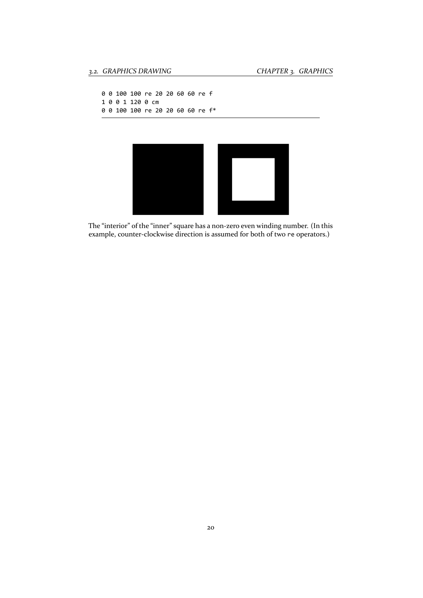```
0 0 100 100 re 20 20 60 60 re f
1 0 0 1 120 0 cm
0 0 100 100 re 20 20 60 60 re f*
```


The "interior" of the "inner" square has a non-zero even winding number. (In this example, counter-clockwise direction is assumed for both of two re operators.)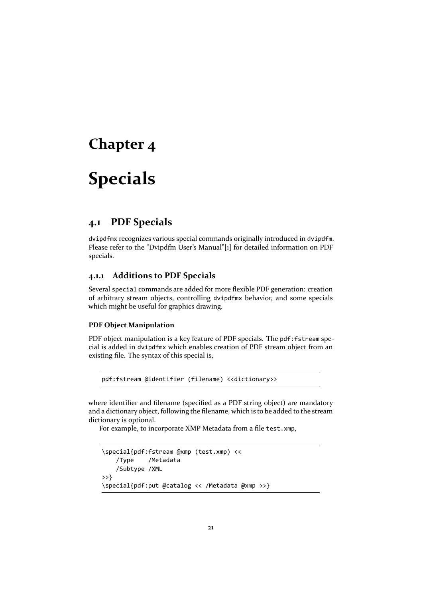# <span id="page-21-0"></span>**Chapter 4**

# **Specials**

### **4.1 PDF Specials**

<span id="page-21-1"></span>dvipdfmx recognizes various special commands originally introduced in dvipdfm. Please refer to the "Dvipdfm User's Manual"[1] for detailed information on PDF specials.

#### **4.1.1 Additions to PDF Specials**

Several special commands are added for mo[re](#page-46-1) flexible PDF generation: creation of arbitrary stream objects, controlling dvipdfmx behavior, and some specials which might be useful for graphics drawing.

#### <span id="page-21-2"></span>**PDF Object Manipulation**

PDF object manipulation is a key feature of PDF specials. The pdf: fstream special is added in dvipdfmx which enables creation of PDF stream object from an existing file. The syntax of this special is,

```
pdf:fstream @identifier (filename) <<dictionary>>
```
where identifier and filename (specified as a PDF string object) are mandatory and a dictionary object, following the filename, which is to be added to the stream dictionary is optional.

For example, to incorporate XMP Metadata from a file test.xmp,

```
\special{pdf:fstream @xmp (test.xmp) <<
    /Type /Metadata
    /Subtype /XML
>>}
\special{pdf:put @catalog << /Metadata @xmp >>}
```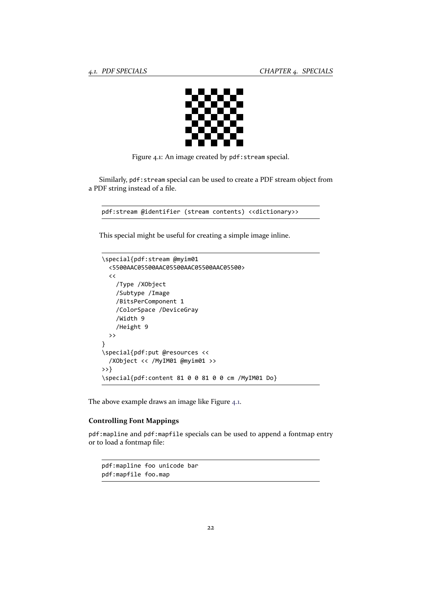

Figure 4.1: An image created by pdf:stream special.

Similarly, pdf:stream special can be used to create a PDF stream object from a PDF string instead of a file.

```
pdf:stream @identifier (stream contents) <<dictionary>>
```
This special might be useful for creating a simple image inline.

```
\special{pdf:stream @myim01
  <5500AAC05500AAC05500AAC05500AAC05500>
  \texttt{<<}/Type /XObject
    /Subtype /Image
    /BitsPerComponent 1
    /ColorSpace /DeviceGray
    /Width 9
    /Height 9
  >>
}
\special{pdf:put @resources <<
  /XObject << /MyIM01 @myim01 >>
>>}
\special{pdf:content 81 0 0 81 0 0 cm /MyIM01 Do}
```
The above example draws an image like Figure 4.1.

#### **Controlling Font Mappings**

pdf:mapline and pdf:mapfile specials can be [us](#page-22-0)ed to append a fontmap entry or to load a fontmap file:

pdf:mapline foo unicode bar pdf:mapfile foo.map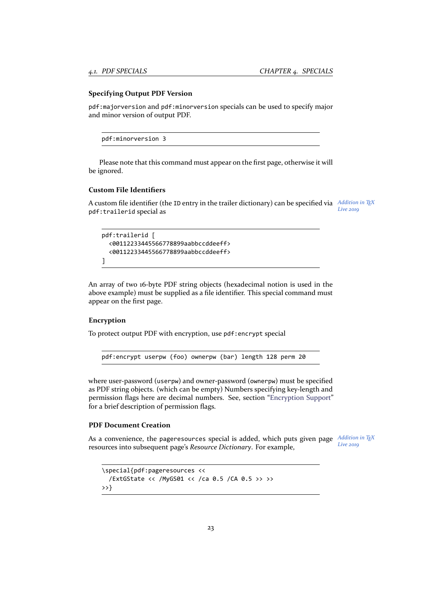#### **Specifying Output PDF Version**

pdf:majorversion and pdf:minorversion specials can be used to specify major and minor version of output PDF.

pdf:minorversion 3

Please note that this command must appear on the first page, otherwise it will be ignored.

#### **Custom File Identifiers**

A custom file identifier (the ID entry in the trailer dictionary) can be specified via *Addition in* T<sub>E</sub>X *Live 2019* pdf:trailerid special as

```
pdf:trailerid [
  <00112233445566778899aabbccddeeff>
  <00112233445566778899aabbccddeeff>
]
```
An array of two 16‐byte PDF string objects (hexadecimal notion is used in the above example) must be supplied as a file identifier. This special command must appear on the first page.

#### **Encryption**

To protect output PDF with encryption, use pdf:encrypt special

pdf:encrypt userpw (foo) ownerpw (bar) length 128 perm 20

where user-password (userpw) and owner-password (ownerpw) must be specified as PDF string objects. (which can be empty) Numbers specifying key‐length and permission flags here are decimal numbers. See, section "Encryption Support" for a brief description of permission flags.

#### **PDF Document Creation**

As a convenience, the pageresources special is added, w[hich puts given page](#page-41-1) Addition in TEX *Live 2019* resources into subsequent page's *Resource Dictionary*. For example,

```
\special{pdf:pageresources <<
  /ExtGState << /MyGS01 << /ca 0.5 /CA 0.5 >> >>
>>}
```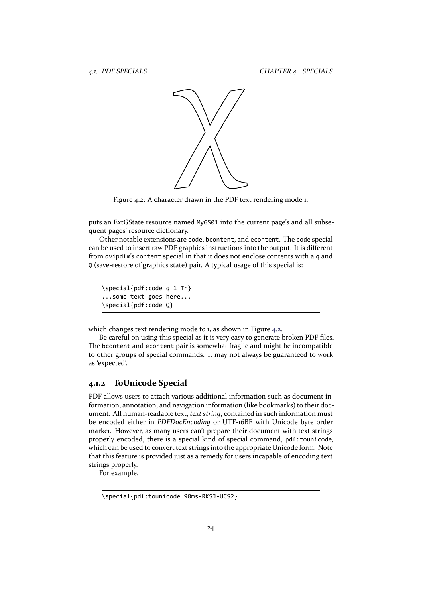

Figure 4.2: A character drawn in the PDF text rendering mode 1.

puts an ExtGState resource named MyGS01 into the current page's and all subsequent pages' resource dictionary.

Other notable extensions are code, bcontent, and econtent. The code special can be used to insert raw PDF graphics instructions into the output. It is different from dvipdfm's content special in that it does not enclose contents with a q and Q (save‐restore of graphics state) pair. A typical usage of this special is:

\special{pdf:code q 1 Tr} ...some text goes here... \special{pdf:code Q}

which changes text rendering mode to 1, as shown in Figure 4.2.

Be careful on using this special as it is very easy to generate broken PDF files. The bcontent and econtent pair is somewhat fragile and might be incompatible to other groups of special commands. It may not always be guaranteed to work as 'expected'.

#### **4.1.2 ToUnicode Special**

PDF allows users to attach various additional information such as document in‐ formation, annotation, and navigation information (like bookmarks) to their doc‐ ument. All human‐readable text, *text string*, contained in such information must be encoded either in *PDFDocEncoding* or UTF‐16BE with Unicode byte order marker. However, as many users can't prepare their document with text strings properly encoded, there is a special kind of special command, pdf:tounicode, which can be used to convert text strings into the appropriate Unicode form. Note that this feature is provided just as a remedy for users incapable of encoding text strings properly.

For example,

\special{pdf:tounicode 90ms‐RKSJ‐UCS2}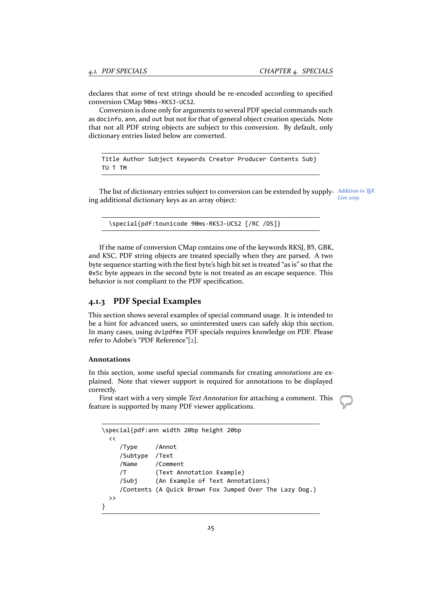declares that *some* of text strings should be re‐encoded according to specified conversion CMap 90ms‐RKSJ‐UCS2.

Conversion is done only for arguments to several PDF special commands such as docinfo, ann, and out but not for that of general object creation specials. Note that not all PDF string objects are subject to this conversion. By default, only dictionary entries listed below are converted.

Title Author Subject Keywords Creator Producer Contents Subj TU T TM

*Addition in TEX* The list of dictionary entries subject to conversion can be extended by supply‐ *Live 2019* ing additional dictionary keys as an array object:

\special{pdf:tounicode 90ms‐RKSJ‐UCS2 [/RC /DS]}

If the name of conversion CMap contains one of the keywords RKSJ, B5, GBK, and KSC, PDF string objects are treated specially when they are parsed. A two byte sequence starting with the first byte's high bit set is treated "as is" so that the 0x5c byte appears in the second byte is not treated as an escape sequence. This behavior is not compliant to the PDF specification.

#### **4.1.3 PDF Special Examples**

This section shows several examples of special command usage. It is intended to be a hint for advanced users, so uninterested users can safely skip this section. In many cases, using dvipdfmx PDF specials requires knowledge on PDF. Please refer to Adobe's "PDF Reference"[2].

#### **Annotations**

In this section, some useful spe[cia](#page-46-0)l commands for creating *annotations* are ex‐ plained. Note that viewer support is required for annotations to be displayed correctly.

First start with a very simple *Text Annotation* for attaching a comment. This feature is supported by many PDF viewer applications.

```
\special{pdf:ann width 20bp height 20bp
 \,</Type /Annot
    /Subtype /Text
    /Name /Comment
    /T (Text Annotation Example)
    /Subj (An Example of Text Annotations)
    /Contents (A Quick Brown Fox Jumped Over The Lazy Dog.)
 >>
}
```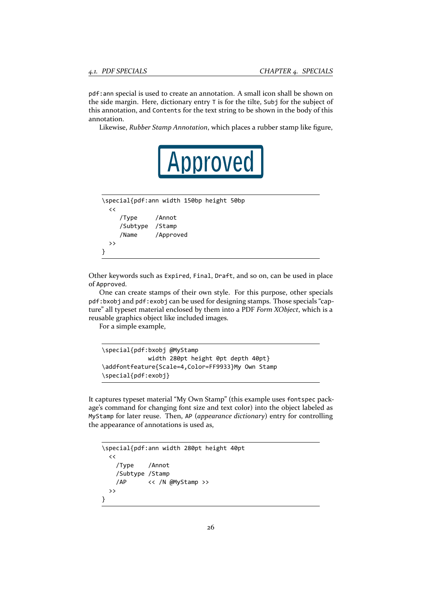pdf:ann special is used to create an annotation. A small icon shall be shown on the side margin. Here, dictionary entry T is for the tilte, Subj for the subject of this annotation, and Contents for the text string to be shown in the body of this annotation.

Likewise, *Rubber Stamp Annotation*, which places a rubber stamp like figure,

```
\special{pdf:ann width 150bp height 50bp
  \lt/Type /Annot
    /Subtype /Stamp
    /Name /Approved
 >>
}
```
Other keywords such as Expired, Final, Draft, and so on, can be used in place of Approved.

One can create stamps of their own style. For this purpose, other specials pdf:bxobj and pdf:exobj can be used for designing stamps. Those specials "cap‐ ture" all typeset material enclosed by them into a PDF *Form XObject*, which is a reusable graphics object like included images.

For a simple example,

```
\special{pdf:bxobj @MyStamp
             width 280pt height 0pt depth 40pt}
\addfontfeature{Scale=4,Color=FF9933}My Own Stamp
\special{pdf:exobj}
```
It captures typeset material "My Own Stamp" (this example uses fontspec pack‐ age's command for changing font size and text color) into the object labeled as MyStamp for later reuse. Then, AP (*appearance dictionary*) entry for controlling the appearance of annotations is used as,

```
\special{pdf:ann width 280pt height 40pt
  \,</Type /Annot
   /Subtype /Stamp
   /AP << /N @MyStamp >>
 >>
}
```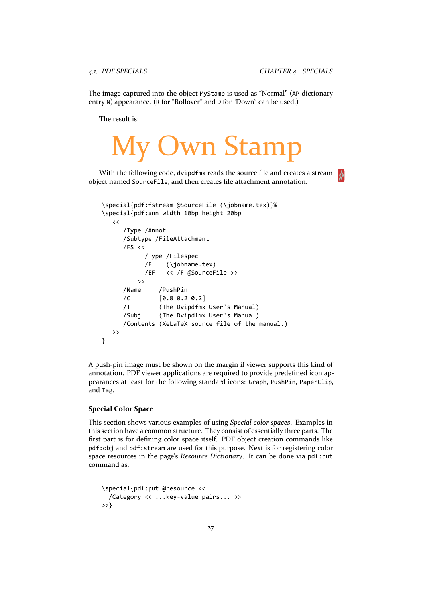The image captured into the object MyStamp is used as "Normal" (AP dictionary entry N) appearance. (R for "Rollover" and D for "Down" can be used.)

The result is:

# **Uwn Stamp**

With the following code, dvipdfmx reads the source file and creates a stream object named SourceFile, and then creates file attachment annotation.

```
\special{pdf:fstream @SourceFile (\jobname.tex)}%
\special{pdf:ann width 10bp height 20bp
  \,</Type /Annot
     /Subtype /FileAttachment
     /FS <<
           /Type /Filespec
           /F (\jobname.tex)
           /EF << /F @SourceFile >>
         >>
     /Name /PushPin
     /C [0.8 0.2 0.2]
     /T (The Dvipdfmx User's Manual)
     /Subj (The Dvipdfmx User's Manual)
     /Contents (XeLaTeX source file of the manual.)
  \rightarrow}
```
A push‐pin image must be shown on the margin if viewer supports this kind of annotation. PDF viewer applications are required to provide predefined icon ap‐ pearances at least for the following standard icons: Graph, PushPin, PaperClip, and Tag.

#### **Special Color Space**

This section shows various examples of using *Special color spaces*. Examples in this section have a common structure. They consist of essentially three parts. The first part is for defining color space itself. PDF object creation commands like pdf:obj and pdf:stream are used for this purpose. Next is for registering color space resources in the page's *Resource Dictionary*. It can be done via pdf:put command as,

```
\special{pdf:put @resource <<
  /Category << ...key‐value pairs... >>
>>}
```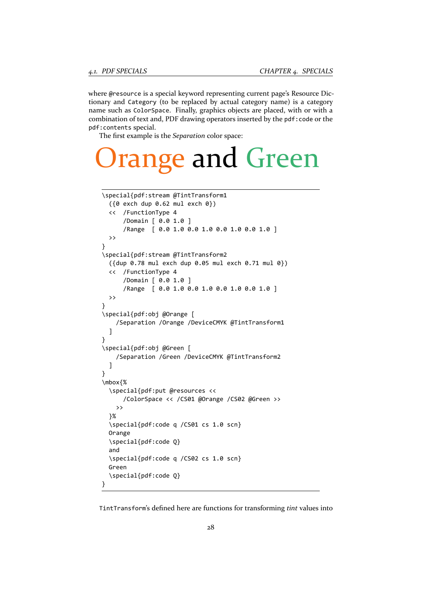where @resource is a special keyword representing current page's Resource Dictionary and Category (to be replaced by actual category name) is a category name such as ColorSpace. Finally, graphics objects are placed, with or with a combination of text and, PDF drawing operators inserted by the pdf:code or the pdf:contents special.

The first example is the *Separation* color space:

# nge and Green

```
\special{pdf:stream @TintTransform1
  ({0 exch dup 0.62 mul exch 0})
  << /FunctionType 4
      /Domain [ 0.0 1.0 ]
      /Range [ 0.0 1.0 0.0 1.0 0.0 1.0 0.0 1.0 ]
  >>
}
\special{pdf:stream @TintTransform2
  ({dup 0.78 mul exch dup 0.05 mul exch 0.71 mul 0})
  << /FunctionType 4
      /Domain [ 0.0 1.0 ]
      /Range [ 0.0 1.0 0.0 1.0 0.0 1.0 0.0 1.0 ]
  \rightarrow}
\special{pdf:obj @Orange [
    /Separation /Orange /DeviceCMYK @TintTransform1
  ]
}
\special{pdf:obj @Green [
    /Separation /Green /DeviceCMYK @TintTransform2
  ]
}
\mbox{%
  \special{pdf:put @resources <<
      /ColorSpace << /CS01 @Orange /CS02 @Green >>
    >>
  }%
  \special{pdf:code q /CS01 cs 1.0 scn}
  Orange
  \special{pdf:code Q}
  and
  \special{pdf:code q /CS02 cs 1.0 scn}
  Green
  \special{pdf:code Q}
}
```
TintTransform's defined here are functions for transforming *tint* values into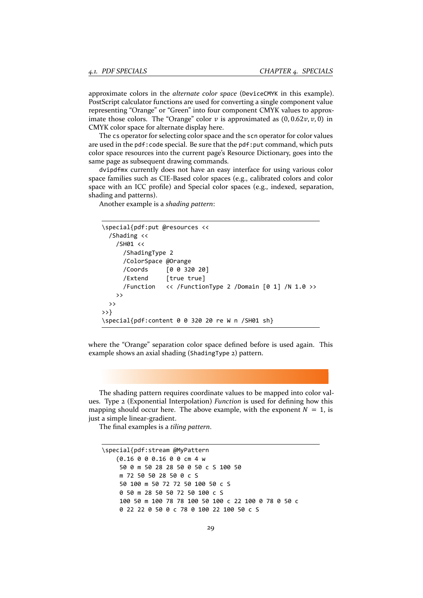approximate colors in the *alternate color space* (DeviceCMYK in this example). PostScript calculator functions are used for converting a single component value representing "Orange" or "Green" into four component CMYK values to approx‐ imate those colors. The "Orange" color  $v$  is approximated as  $(0, 0.62v, v, 0)$  in CMYK color space for alternate display here.

The cs operator for selecting color space and the scn operator for color values are used in the pdf: code special. Be sure that the pdf: put command, which puts color space resources into the current page's Resource Dictionary, goes into the same page as subsequent drawing commands.

dvipdfmx currently does not have an easy interface for using various color space families such as CIE‐Based color spaces (e.g., calibrated colors and color space with an ICC profile) and Special color spaces (e.g., indexed, separation, shading and patterns).

Another example is a *shading pattern*:

```
\special{pdf:put @resources <<
  /Shading <<
    /SH01 <<
      /ShadingType 2
      /ColorSpace @Orange
      /Coords [0 0 320 20]
      /Extend [true true]
      /Function \langle\langle /FunctionType 2 /Domain [0 1] /N 1.0 >>
    \rightarrow>>
>>}
\special{pdf:content 0 0 320 20 re W n /SH01 sh}
```
where the "Orange" separation color space defined before is used again. This example shows an axial shading (ShadingType 2) pattern.

The shading pattern requires coordinate values to be mapped into color values. Type 2 (Exponential Interpolation) *Function* is used for defining how this mapping should occur here. The above example, with the exponent  $N = 1$ , is just a simple linear‐gradient.

The final examples is a *tiling pattern*.

\special{pdf:stream @MyPattern (0.16 0 0 0.16 0 0 cm 4 w 50 0 m 50 28 28 50 0 50 c S 100 50 m 72 50 50 28 50 0 c S 50 100 m 50 72 72 50 100 50 c S 0 50 m 28 50 50 72 50 100 c S 100 50 m 100 78 78 100 50 100 c 22 100 0 78 0 50 c 0 22 22 0 50 0 c 78 0 100 22 100 50 c S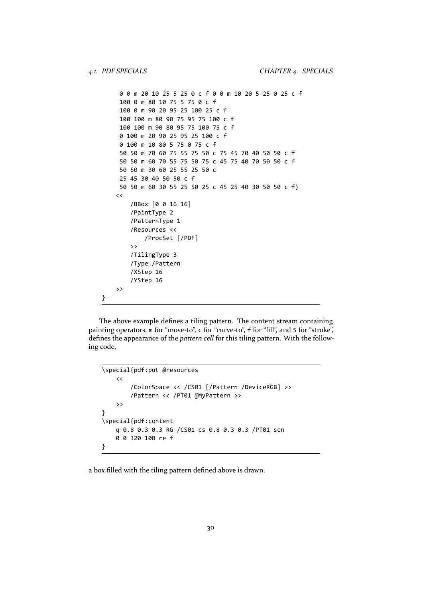}

```
0 0 m 20 10 25 5 25 0 c f 0 0 m 10 20 5 25 0 25 c f
 100 0 m 80 10 75 5 75 0 c f
 100 0 m 90 20 95 25 100 25 c f
 100 100 m 80 90 75 95 75 100 c f
 100 100 m 90 80 95 75 100 75 c f
 0 100 m 20 90 25 95 25 100 c f
 0 100 m 10 80 5 75 0 75 c f
 50 50 m 70 60 75 55 75 50 c 75 45 70 40 50 50 c f
 50 50 m 60 70 55 75 50 75 c 45 75 40 70 50 50 c f
 50 50 m 30 60 25 55 25 50 c
 25 45 30 40 50 50 c f
 50 50 m 60 30 55 25 50 25 c 45 25 40 30 50 50 c f)
\,</BBox [0 0 16 16]
    /PaintType 2
    /PatternType 1
    /Resources <<
        /ProcSet [/PDF]
    >>
    /TilingType 3
    /Type /Pattern
    /XStep 16
    /YStep 16
>>
```
The above example defines a tiling pattern. The content stream containing painting operators, m for "move-to", c for "curve-to", f for "fill", and S for "stroke", defines the appearance of the *pattern cell* for this tiling pattern. With the following code,

```
\special{pdf:put @resources
    \prec/ColorSpace << /CS01 [/Pattern /DeviceRGB] >>
        /Pattern << /PT01 @MyPattern >>
    >>
}
\special{pdf:content
    q 0.8 0.3 0.3 RG /CS01 cs 0.8 0.3 0.3 /PT01 scn
    0 0 320 100 re f
}
```
a box filled with the tiling pattern defined above is drawn.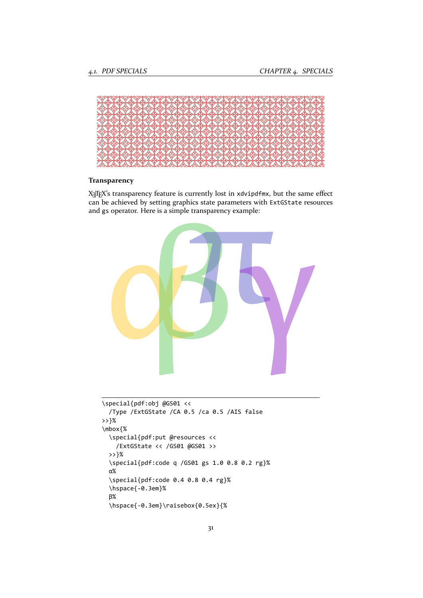

#### **Transparency**

X<sub>I</sub>TEX's transparency feature is currently lost in xdvipdfmx, but the same effect can be achieved by setting graphics state parameters with ExtGState resources and gs operator. Here is a simple transparency example:



```
\special{pdf:obj @GS01 <<
  /Type /ExtGState /CA 0.5 /ca 0.5 /AIS false
>>}%
\mbox{%
 \special{pdf:put @resources <<
   /ExtGState << /GS01 @GS01 >>
 >>}%
  \special{pdf:code q /GS01 gs 1.0 0.8 0.2 rg}%
 α%
  \special{pdf:code 0.4 0.8 0.4 rg}%
  \hspace{‐0.3em}%
 β%
  \hspace{‐0.3em}\raisebox{0.5ex}{%
```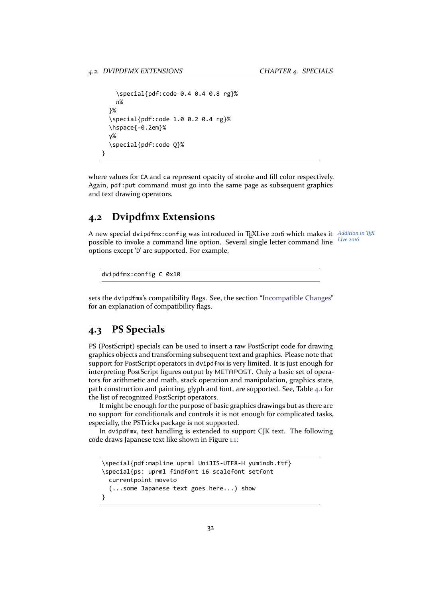}

```
\special{pdf:code 0.4 0.4 0.8 rg}%
  π%
}%
\special{pdf:code 1.0 0.2 0.4 rg}%
\hspace{‐0.2em}%
γ%
\special{pdf:code Q}%
```
where values for CA and ca represent opacity of stroke and fill color respectively. Again, pdf:put command must go into the same page as subsequent graphics and text drawing operators.

### **4.2 Dvipdfmx Extensions**

A new special dvipdfmx:config was introduced in T<sub>E</sub>XLive 2016 which makes it Addition in T<sub>E</sub>X *Live 2016* possible to invoke a command line option. Several single letter command line options except 'D' are supported. For example,

dvipdfmx:config C 0x10

sets the dvipdfmx's compatibility flags. See, the section "Incompatible Changes" for an explanation of compatibility flags.

### **4.3 PS Specials**

PS (PostScript) specials can be used to insert a raw PostScript code for drawing graphics objects and transforming subsequent text and graphics. Please note that support for PostScript operators in dvipdfmx is very limited. It is just enough for interpreting PostScript figures output by METAPOST. Only a basic set of opera‐ tors for arithmetic and math, stack operation and manipulation, graphics state, path construction and painting, glyph and font, are supported. See, Table 4.1 for the list of recognized PostScript operators.

It might be enough for the purpose of basic graphics drawings but as there are no support for conditionals and controls it is not enough for complicated tasks, especially, the PSTricks package is not supported.

In dvipdfmx, text handling is extended to support CJK text. The following code draws Japanese text like shown in Figure 1.1:

```
\special{pdf:mapline uprml UniJIS‐UTF8‐H yumindb.ttf}
\special{ps: uprml findfont 16 scalefont setfont
 currentpoint moveto
  (...some Japanese text goes here...) show
}
```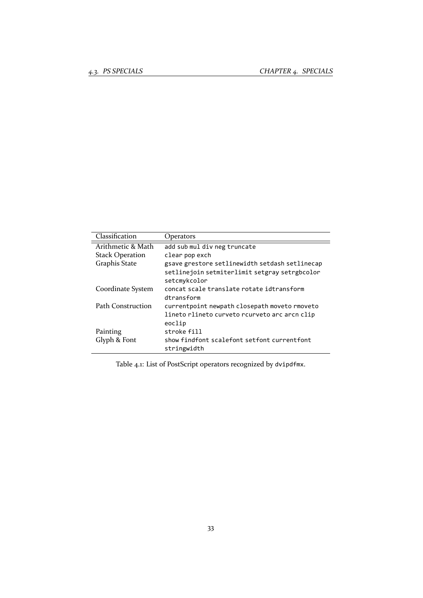| Classification           | Operators                                                                                                       |
|--------------------------|-----------------------------------------------------------------------------------------------------------------|
| Arithmetic & Math        | add sub mul div neg truncate                                                                                    |
| <b>Stack Operation</b>   | clear pop exch                                                                                                  |
| Graphis State            | gsave grestore setlinewidth setdash setlinecap<br>setlinejoin setmiterlimit setgray setrgbcolor<br>setcmykcolor |
| Coordinate System        | concat scale translate rotate idtransform<br>dtransform                                                         |
| <b>Path Construction</b> | currentpoint newpath closepath moveto rmoveto<br>lineto rlineto curveto rcurveto arc arcn clip<br>eoclip        |
| Painting                 | stroke fill                                                                                                     |
| Glyph & Font             | show findfont scalefont setfont currentfont<br>stringwidth                                                      |

Table 4.1: List of PostScript operators recognized by dvipdfmx.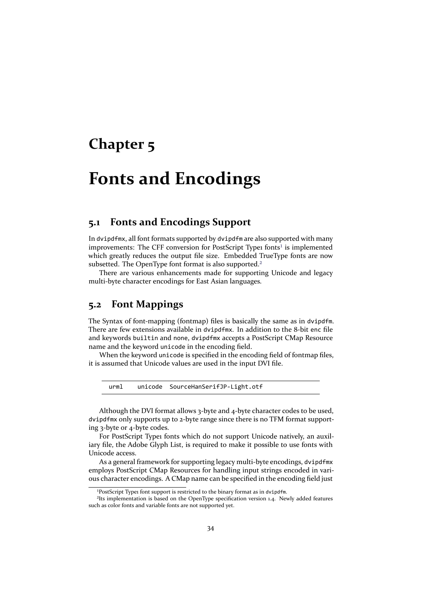## <span id="page-34-0"></span>**Chapter 5**

# **Fonts and Encodings**

### **5.1 Fonts and Encodings Support**

<span id="page-34-1"></span>In dvipdfmx, all font formats supported by dvipdfm are also supported with many improvements: The CFF conversion for PostScript Type1 fonts<sup>1</sup> is implemented which greatly reduces the output file size. Embedded TrueType fonts are now subsetted. The OpenType font format is also supported.<sup>2</sup>

There are various enhancements made for supporting Unicode and legacy multi‐byte character encodings for East Asian languages.

### **5.2 Font Mappings**

<span id="page-34-2"></span>The Syntax of font-mapping (fontmap) files is basically the same as in dvipdfm. There are few extensions available in dvipdfmx. In addition to the 8‐bit enc file and keywords builtin and none, dvipdfmx accepts a PostScript CMap Resource name and the keyword unicode in the encoding field.

When the keyword unicode is specified in the encoding field of fontmap files, it is assumed that Unicode values are used in the input DVI file.

urml unicode SourceHanSerifJP‐Light.otf

Although the DVI format allows 3-byte and 4-byte character codes to be used, dvipdfmx only supports up to 2‐byte range since there is no TFM format support‐ ing 3‐byte or 4‐byte codes.

For PostScript Type1 fonts which do not support Unicode natively, an auxil iary file, the Adobe Glyph List, is required to make it possible to use fonts with Unicode access.

As a general framework for supporting legacy multi‐byte encodings, dvipdfmx employs PostScript CMap Resources for handling input strings encoded in vari‐ ous character encodings. A CMap name can be specified in the encoding field just

<sup>&</sup>lt;sup>1</sup>PostScript Type1 font support is restricted to the binary format as in dvipdfm.

²Its implementation is based on the OpenType specification version 1.4. Newly added features such as color fonts and variable fonts are not supported yet.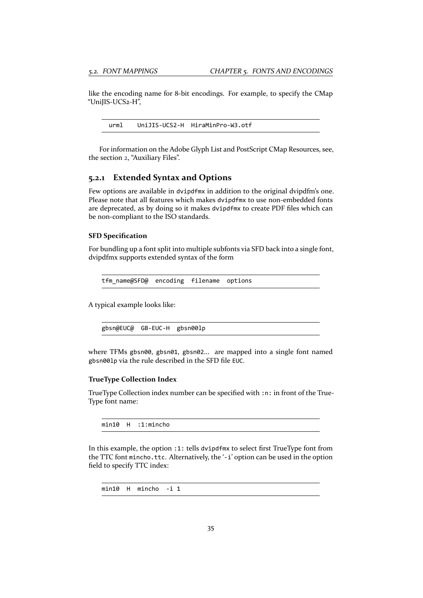like the encoding name for 8‐bit encodings. For example, to specify the CMap "UniJIS‐UCS2‐H",

urml UniJIS‐UCS2‐H HiraMinPro‐W3.otf

For information on the Adobe Glyph List and PostScript CMap Resources, see, the section 2, "Auxiliary Files".

#### **5.2.1 Extended Syntax and Options**

<span id="page-35-0"></span>Few option[s](#page-10-0) are available in dvipdfmx in addition to the original dvipdfm's one. Please note that all features which makes dvipdfmx to use non-embedded fonts are deprecated, as by doing so it makes dvipdfmx to create PDF files which can be non‐compliant to the ISO standards.

#### **SFD Specification**

For bundling up a font split into multiple subfonts via SFD back into a single font, dvipdfmx supports extended syntax of the form

tfm\_name@SFD@ encoding filename options

A typical example looks like:

gbsn@EUC@ GB‐EUC‐H gbsn00lp

where TFMs gbsn00, gbsn01, gbsn02... are mapped into a single font named gbsn00lp via the rule described in the SFD file EUC.

#### **TrueType Collection Index**

TrueType Collection index number can be specified with :n: in front of the True‐ Type font name:

min10 H :1:mincho

In this example, the option :1: tells dvipdfmx to select first TrueType font from the TTC font mincho.ttc. Alternatively, the '‐i' option can be used in the option field to specify TTC index:

min10 H mincho ‐i 1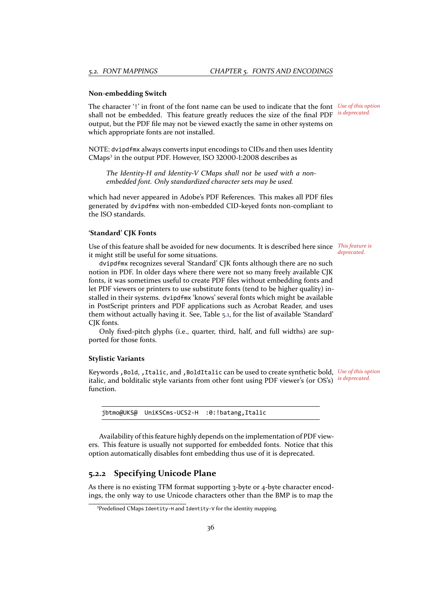#### **Non‐embedding Switch**

*Use of this option* The character '!' in front of the font name can be used to indicate that the font shall not be embedded. This feature greatly reduces the size of the final PDF output, but the PDF file may not be viewed exactly the same in other systems on which appropriate fonts are not installed.

*is deprecated.*

NOTE: dvipdfmx always converts input encodings to CIDs and then uses Identity CMaps<sup>3</sup> in the output PDF. However, ISO 32000-1:2008 describes as

*The Identity‐H and Identity‐V CMaps shall not be used with a non‐ embedded font. Only standardized character sets may be used.*

which [h](#page-36-1)ad never appeared in Adobe's PDF References. This makes all PDF files generated by dvipdfmx with non‐embedded CID‐keyed fonts non‐compliant to the ISO standards.

#### **'Standard' CJK Fonts**

Use of this feature shall be avoided for new documents. It is described here since *This feature is* it might still be useful for some situations.

*deprecated.*

dvipdfmx recognizes several 'Standard' CJK fonts although there are no such notion in PDF. In older days where there were not so many freely available CJK fonts, it was sometimes useful to create PDF files without embedding fonts and let PDF viewers or printers to use substitute fonts (tend to be higher quality) installed in their systems. dvipdfmx 'knows' several fonts which might be available in PostScript printers and PDF applications such as Acrobat Reader, and uses them without actually having it. See, Table 5.1, for the list of available 'Standard' CJK fonts.

Only fixed‐pitch glyphs (i.e., quarter, third, half, and full widths) are sup‐ ported for those fonts.

#### **Stylistic Variants**

*Use of this option* Keywords ,Bold, ,Italic, and ,BoldItalic can be used to create synthetic bold, italic, and bolditalic style variants from other font using PDF viewer's (or OS's) is deprecated. function.

jbtmo@UKS@ UniKSCms‐UCS2‐H :0:!batang,Italic

Availability of this feature highly depends on the implementation of PDF view‐ ers. This feature is usually not supported for embedded fonts. Notice that this option automatically disables font embedding thus use of it is deprecated.

#### **5.2.2 Specifying Unicode Plane**

As there is no existing TFM format supporting 3‐byte or 4‐byte character encod‐ ings, the only way to use Unicode characters other than the BMP is to map the

<span id="page-36-1"></span><span id="page-36-0"></span><sup>&</sup>lt;sup>3</sup>Predefined CMaps Identity-H and Identity-V for the identity mapping.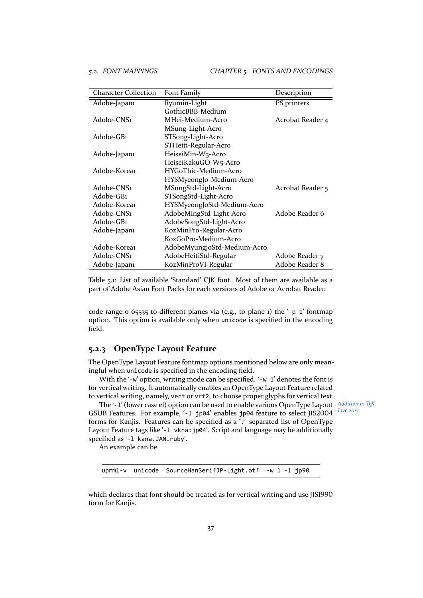| <b>Character Collection</b> | Font Family                 | Description      |
|-----------------------------|-----------------------------|------------------|
| Adobe-Japanı                | Ryumin-Light                | PS printers      |
|                             | GothicBBB-Medium            |                  |
| Adobe-CNS1                  | MHei-Medium-Acro            | Acrobat Reader 4 |
|                             | MSung-Light-Acro            |                  |
| Adobe-GB1                   | STSong-Light-Acro           |                  |
|                             | STHeiti-Regular-Acro        |                  |
| Adobe-Japani                | HeiseiMin-W3-Acro           |                  |
|                             | HeiseiKakuGO-W5-Acro        |                  |
| Adobe-Korea1                | HYGoThic-Medium-Acro        |                  |
|                             | HYSMyeongJo-Medium-Acro     |                  |
| Adobe-CNS1                  | MSungStd-Light-Acro         | Acrobat Reader 5 |
| Adobe-GB1                   | STSongStd-Light-Acro        |                  |
| Adobe-Korea1                | HYSMyeongJoStd-Medium-Acro  |                  |
| Adobe-CNS1                  | AdobeMingStd-Light-Acro     | Adobe Reader 6   |
| Adobe-GB1                   | AdobeSongStd-Light-Acro     |                  |
| Adobe-Japani                | KozMinPro-Regular-Acro      |                  |
|                             | KozGoPro-Medium-Acro        |                  |
| Adobe-Korea1                | AdobeMyungjoStd-Medium-Acro |                  |
| Adobe-CNS1                  | AdobeHeitiStd-Regular       | Adobe Reader 7   |
| Adobe-Japanı                | KozMinProVI-Regular         | Adobe Reader 8   |

Table 5.1: List of available 'Standard' CJK font. Most of them are available as a part of Adobe Asian Font Packs for each versions of Adobe or Acrobat Reader.

code range 0‐65535 to different planes via (e.g., to plane 1) the '‐p 1' fontmap option. This option is available only when unicode is specified in the encoding field.

#### <span id="page-37-0"></span>**5.2.3 OpenType Layout Feature**

The OpenType Layout Feature fontmap options mentioned below are only meaningful when unicode is specified in the encoding field.

With the '-w' option, writing mode can be specified. '-w 1' denotes the font is for vertical writing. It automatically enables an OpenType Layout Feature related to vertical writing, namely, vert or vrt2, to choose proper glyphs for vertical text.

*Addition in TEX* The '‐l' (lower case el) option can be used to enable various OpenType Layout GSUB Features. For example, '‐l jp04' enables jp04 feature to select JIS2004 forms for Kanjis. Features can be specified as a ":" separated list of OpenType Layout Feature tags like '-1 vkna: jp04'. Script and language may be additionally specified as '‐l kana.JAN.ruby'.

An example can be

uprml-v unicode SourceHanSerifJP-Light.otf -w 1 -l jp90

which declares that font should be treated as for vertical writing and use JIS1990 form for Kanjis.

*Live 2017.*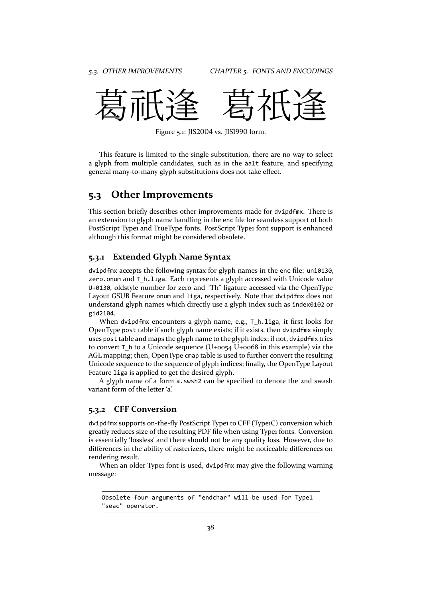

Figure 5.1: JIS2004 vs. JIS1990 form.

This feature is limited to the single substitution, there are no way to select a glyph from multiple candidates, such as in the aalt feature, and specifying general many‐to‐many glyph substitutions does not take effect.

### <span id="page-38-0"></span>**5.3 Other Improvements**

This section briefly describes other improvements made for dvipdfmx. There is an extension to glyph name handling in the enc file for seamless support of both PostScript Type1 and TrueType fonts. PostScript Type1 font support is enhanced although this format might be considered obsolete.

#### <span id="page-38-1"></span>**5.3.1 Extended Glyph Name Syntax**

dvipdfmx accepts the following syntax for glyph names in the enc file: uni0130, zero.onum and T\_h.liga. Each represents a glyph accessed with Unicode value U+0130, oldstyle number for zero and "Th" ligature accessed via the OpenType Layout GSUB Feature onum and liga, respectively. Note that dvipdfmx does not understand glyph names which directly use a glyph index such as index0102 or gid2104.

When dvipdfmx encounters a glyph name, e.g., T\_h.liga, it first looks for OpenType post table if such glyph name exists; if it exists, then dvipdfmx simply uses post table and maps the glyph name to the glyph index; if not, dvipdfmx tries to convert T<sub>h</sub> to a Unicode sequence (U+0054 U+0068 in this example) via the AGL mapping; then, OpenType cmap table is used to further convert the resulting Unicode sequence to the sequence of glyph indices; finally, the OpenType Layout Feature liga is applied to get the desired glyph.

A glyph name of a form a.swsh2 can be specified to denote the 2nd swash variant form of the letter 'a'.

#### <span id="page-38-2"></span>**5.3.2 CFF Conversion**

dvipdfmx supports on‐the‐fly PostScript Type1 to CFF (Type1C) conversion which greatly reduces size of the resulting PDF file when using Type1 fonts. Conversion is essentially 'lossless' and there should not be any quality loss. However, due to differences in the ability of rasterizers, there might be noticeable differences on rendering result.

When an older Type1 font is used, dvipdfmx may give the following warning message:

Obsolete four arguments of "endchar" will be used for Type1 "seac" operator.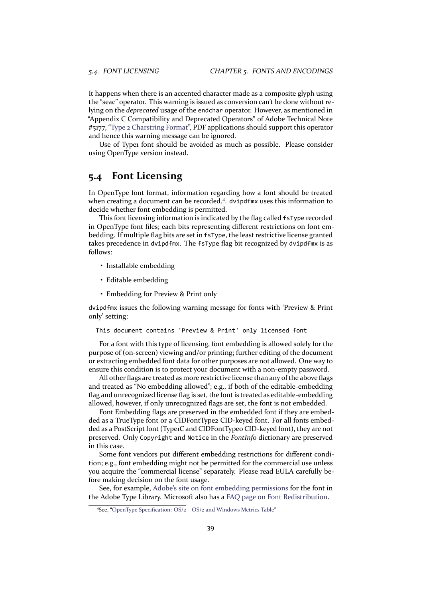It happens when there is an accented character made as a composite glyph using the "seac" operator. This warning is issued as conversion can't be done without re‐ lying on the *deprecated* usage of the endchar operator. However, as mentioned in "Appendix C Compatibility and Deprecated Operators" of Adobe Technical Note #5177, "Type 2 Charstring Format", PDF applications should support this operator and hence this warning message can be ignored.

Use of Type1 font should be avoided as much as possible. Please consider using OpenType version instead.

### **5.4 Font Licensing**

In OpenType font format, information regarding how a font should be treated when creating a document can be recorded.<sup>4</sup>. dvipdfmx uses this information to decide whether font embedding is permitted.

<span id="page-39-0"></span>This font licensing information is indicated by the flag called fsType recorded in OpenType font files; each bits representing different restrictions on font embedding. If multiple flag bits are set in fsTyp[e](#page-39-1), the least restrictive license granted takes precedence in dvipdfmx. The fsType flag bit recognized by dvipdfmx is as follows:

- Installable embedding
- Editable embedding
- Embedding for Preview & Print only

dvipdfmx issues the following warning message for fonts with 'Preview & Print only' setting:

This document contains 'Preview & Print' only licensed font

For a font with this type of licensing, font embedding is allowed solely for the purpose of (on‐screen) viewing and/or printing; further editing of the document or extracting embedded font data for other purposes are not allowed. One way to ensure this condition is to protect your document with a non-empty password.

All other flags are treated as more restrictive license than any of the above flags and treated as "No embedding allowed"; e.g., if both of the editable-embedding flag and unrecognized license flag is set, the font is treated as editable‐embedding allowed, however, if only unrecognized flags are set, the font is not embedded.

Font Embedding flags are preserved in the embedded font if they are embedded as a TrueType font or a CIDFontType2 CID-keyed font. For all fonts embedded as a PostScript font (Type1C and CIDFontType0 CID-keyed font), they are not preserved. Only Copyright and Notice in the *FontInfo* dictionary are preserved in this case.

Some font vendors put different embedding restrictions for different condi‐ tion; e.g., font embedding might not be permitted for the commercial use unless you acquire the "commercial license" separately. Please read EULA carefully be‐ fore making decision on the font usage.

See, for example, Adobe's site on font embedding permissions for the font in the Adobe Type Library. Microsoft also has a FAQ page on Font Redistribution.

<span id="page-39-1"></span>⁴See, "OpenType Specification: OS/2 – OS/2 and Windows Metrics Table"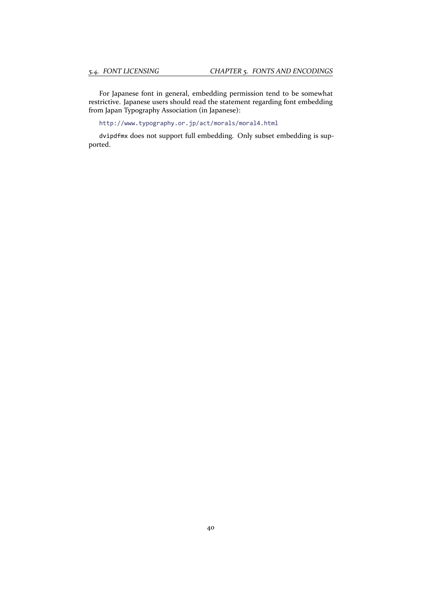For Japanese font in general, embedding permission tend to be somewhat restrictive. Japanese users should read the statement regarding font embedding from Japan Typography Association (in Japanese):

http://www.typography.or.jp/act/morals/moral4.html

dvipdfmx does not support full embedding. Only subset embedding is supported.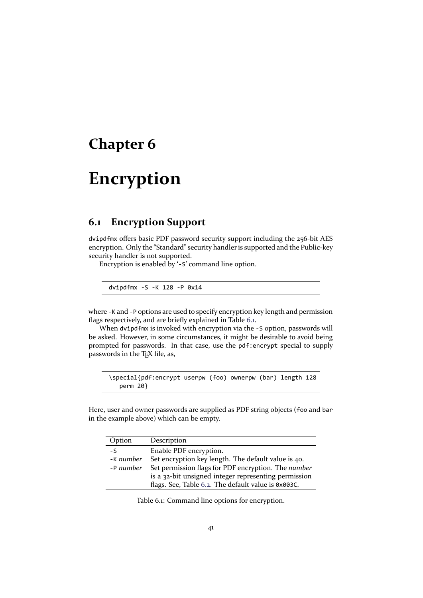# <span id="page-41-0"></span>**Chapter 6**

# **Encryption**

### **6.1 Encryption Support**

dvipdfmx offers basic PDF password security support including the 256‐bit AES encryption. Only the "Standard" security handler is supported and the Public‐key security handler is not supported.

<span id="page-41-1"></span>Encryption is enabled by '‐S' command line option.

dvipdfmx ‐S ‐K 128 ‐P 0x14

where -K and -P options are used to specify encryption key length and permission flags respectively, and are briefly explained in Table 6.1.

When dvipdfmx is invoked with encryption via the -S option, passwords will be asked. However, in some circumstances, it might be desirable to avoid being prompted for passwords. In that case, use the pdf:encrypt special to supply passwords in the T<sub>E</sub>X file, as,

\special{pdf:encrypt userpw (foo) ownerpw (bar) length 128 perm 20}

Here, user and owner passwords are supplied as PDF string objects (foo and bar in the example above) which can be empty.

| Option        | Description                                          |
|---------------|------------------------------------------------------|
| $-\mathsf{S}$ | Enable PDF encryption.                               |
| -K number     | Set encryption key length. The default value is 40.  |
| -P number     | Set permission flags for PDF encryption. The number  |
|               | is a 32-bit unsigned integer representing permission |
|               | flags. See, Table 6.2. The default value is 0x003C.  |

Table 6.1: Command line options for encryption.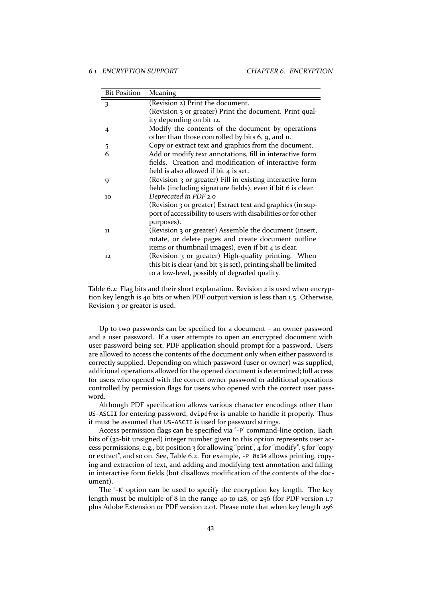| <b>Bit Position</b> | Meaning                                                         |
|---------------------|-----------------------------------------------------------------|
| 3                   | (Revision 2) Print the document.                                |
|                     | (Revision 3 or greater) Print the document. Print qual-         |
|                     | ity depending on bit 12.                                        |
| 4                   | Modify the contents of the document by operations               |
|                     | other than those controlled by bits 6, 9, and 11.               |
| 5                   | Copy or extract text and graphics from the document.            |
| 6                   | Add or modify text annotations, fill in interactive form        |
|                     | fields. Creation and modification of interactive form           |
|                     | field is also allowed if bit $4$ is set.                        |
| 9                   | (Revision 3 or greater) Fill in existing interactive form       |
|                     | fields (including signature fields), even if bit 6 is clear.    |
| 10                  | Deprecated in PDF 2.0                                           |
|                     | (Revision 3 or greater) Extract text and graphics (in sup-      |
|                     | port of accessibility to users with disabilities or for other   |
|                     | purposes).                                                      |
| 11                  | (Revision 3 or greater) Assemble the document (insert,          |
|                     | rotate, or delete pages and create document outline             |
|                     | items or thumbnail images), even if bit 4 is clear.             |
| 12                  | (Revision 3 or greater) High-quality printing. When             |
|                     | this bit is clear (and bit 3 is set), printing shall be limited |
|                     | to a low-level, possibly of degraded quality.                   |

Table 6.2: Flag bits and their short explanation. Revision 2 is used when encryption key length is 40 bits or when PDF output version is less than 1.5. Otherwise, Revision 3 or greater is used.

<span id="page-42-0"></span>Up to two passwords can be specified for a document – an owner password and a user password. If a user attempts to open an encrypted document with user password being set, PDF application should prompt for a password. Users are allowed to access the contents of the document only when either password is correctly supplied. Depending on which password (user or owner) was supplied, additional operations allowed for the opened document is determined; full access for users who opened with the correct owner password or additional operations controlled by permission flags for users who opened with the correct user pass– word.

Although PDF specification allows various character encodings other than US‐ASCII for entering password, dvipdfmx is unable to handle it properly. Thus it must be assumed that US‐ASCII is used for password strings.

Access permission flags can be specified via '‐P' command‐line option. Each bits of (32-bit unsigned) integer number given to this option represents user access permissions; e.g., bit position  $3$  for allowing "print",  $4$  for "modify",  $5$  for "copy or extract", and so on. See, Table 6.2. For example, ‐P 0x34 allows printing, copy‐ ing and extraction of text, and adding and modifying text annotation and filling in interactive form fields (but disallows modification of the contents of the document).

The '‐K' option can be used [to s](#page-42-0)pecify the encryption key length. The key length must be multiple of 8 in the range 40 to 128, or 256 (for PDF version 1.7 plus Adobe Extension or PDF version 2.0). Please note that when key length 256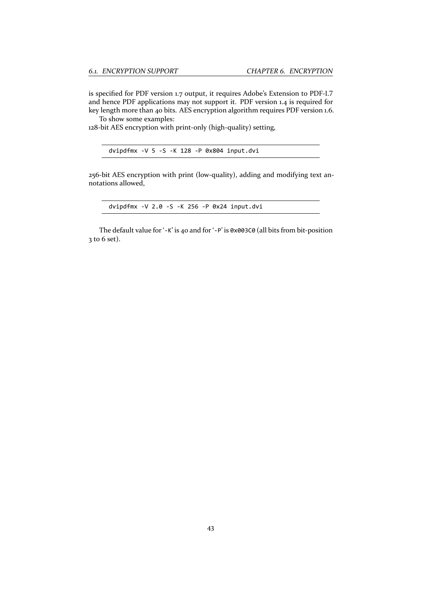is specified for PDF version 1.7 output, it requires Adobe's Extension to PDF‐1.7 and hence PDF applications may not support it. PDF version 1.4 is required for key length more than 40 bits. AES encryption algorithm requires PDF version 1.6.

To show some examples:

128-bit AES encryption with print-only (high-quality) setting,

256‐bit AES encryption with print (low‐quality), adding and modifying text an‐ notations allowed,

dvipdfmx ‐V 2.0 ‐S ‐K 256 ‐P 0x24 input.dvi

The default value for '-K' is 40 and for '-P' is 0x003C0 (all bits from bit-position 3 to 6 set).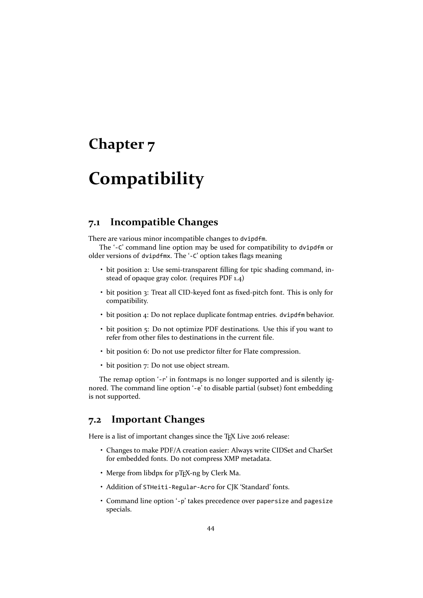## <span id="page-44-0"></span>**Chapter 7**

# **Compatibility**

### <span id="page-44-1"></span>**7.1 Incompatible Changes**

There are various minor incompatible changes to dvipdfm.

The '-C' command line option may be used for compatibility to dvipdfm or older versions of dvipdfmx. The '‐C' option takes flags meaning

- bit position 2: Use semi-transparent filling for tpic shading command, instead of opaque gray color. (requires PDF 1.4)
- bit position 3: Treat all CID-keyed font as fixed-pitch font. This is only for compatibility.
- bit position 4: Do not replace duplicate fontmap entries. dvipdfm behavior.
- bit position 5: Do not optimize PDF destinations. Use this if you want to refer from other files to destinations in the current file.
- bit position 6: Do not use predictor filter for Flate compression.
- bit position 7: Do not use object stream.

The remap option '-r' in fontmaps is no longer supported and is silently ignored. The command line option '‐e' to disable partial (subset) font embedding is not supported.

### **7.2 Important Changes**

Here is a list of important changes since the TEX Live 2016 release:

- Changes to make PDF/A creation easier: Always write CIDSet and CharSet for embedded fonts. Do not compress XMP metadata.
- Merge from libdpx for pTFX-ng by Clerk Ma.
- Addition of STHeiti‐Regular‐Acro for CJK 'Standard' fonts.
- Command line option '‐p' takes precedence over papersize and pagesize specials.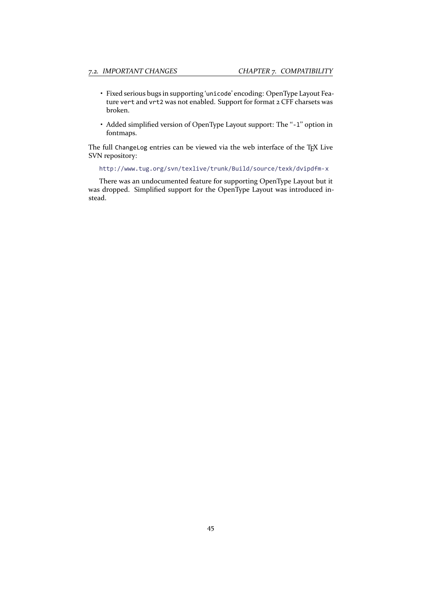- Fixed serious bugs in supporting 'unicode' encoding: OpenType Layout Fea‐ ture vert and vrt2 was not enabled. Support for format 2 CFF charsets was broken.
- Added simplified version of OpenType Layout support: The "-1" option in fontmaps.

The full ChangeLog entries can be viewed via the web interface of the TEX Live SVN repository:

http://www.tug.org/svn/texlive/trunk/Build/source/texk/dvipdfm‐x

There was an undocumented feature for supporting OpenType Layout but it was dropped. Simplified support for the OpenType Layout was introduced in‐ ste[ad.](http://www.tug.org/svn/texlive/trunk/Build/source/texk/dvipdfm-x)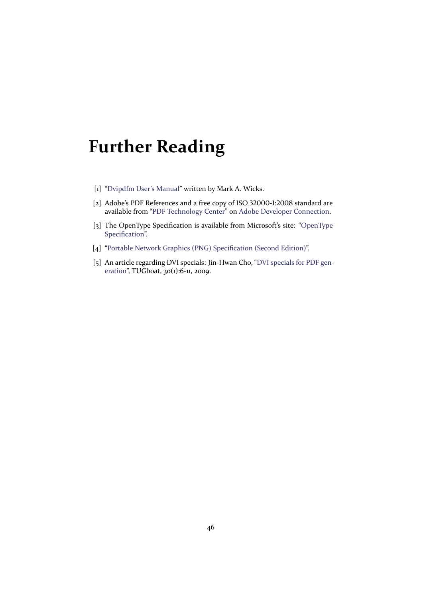# **Further Reading**

- [1] "Dvipdfm User's Manual" written by Mark A. Wicks.
- [2] Adobe's PDF References and a free copy of ISO 32000-1:2008 standard are available from "PDF Technology Center" on Adobe Developer Connection.
- <span id="page-46-1"></span><span id="page-46-0"></span>[3] [The OpenType Specifica](http://mirrors.ctan.org/dviware/dvipdfm/dvipdfm.pdf)tion is available from Microsoft's site: "OpenType Specification".
- [4] "Portable Netw[ork Graphics \(PNG\) Spec](http://www.adobe.com/devnet/pdf.html)ific[ation \(Second Edition\)".](http://www.adobe.com/devnet.html)
- [5] An article regarding DVI specials: Jin-Hwan Cho, "DVI specials for PDF gen[eration", TUG](http://www.microsoft.com/en-us/Typography/OpenTypeSpecification.aspx)boat, 30(1):6‐11, 2009.